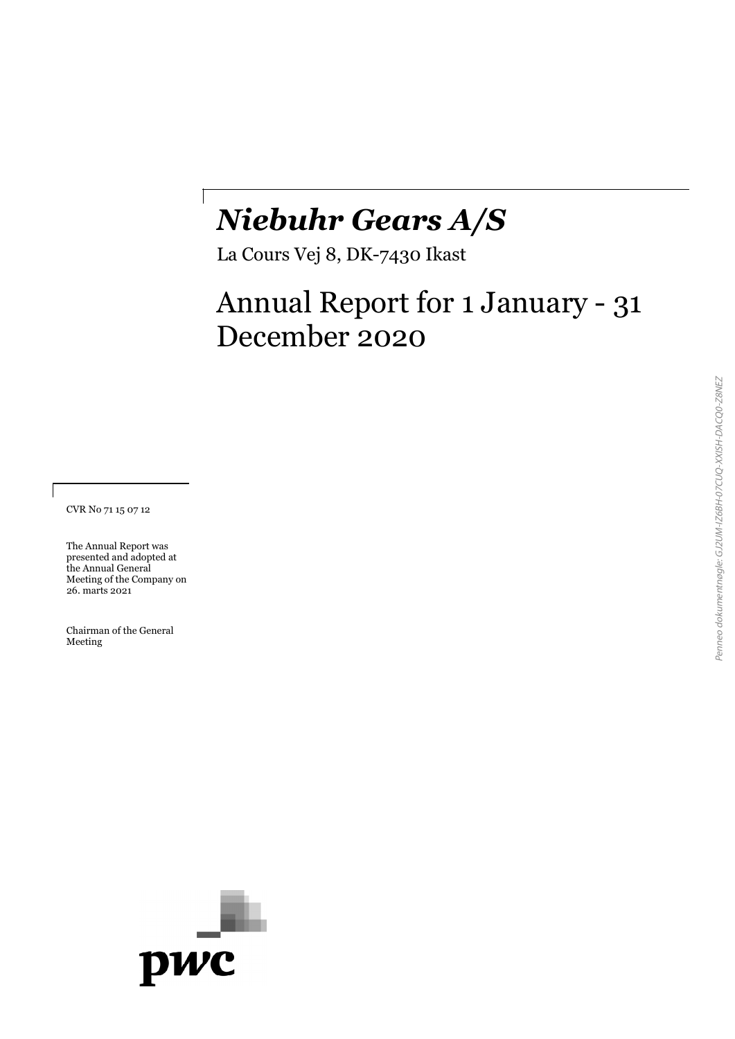# *Niebuhr Gears A/S*

La Cours Vej 8, DK-7430 Ikast

# Annual Report for 1 January - 31 December 2020

CVR No 71 15 07 12

The Annual Report was presented and adopted at the Annual General Meeting of the Company on 26. marts 2021

Chairman of the General Meeting

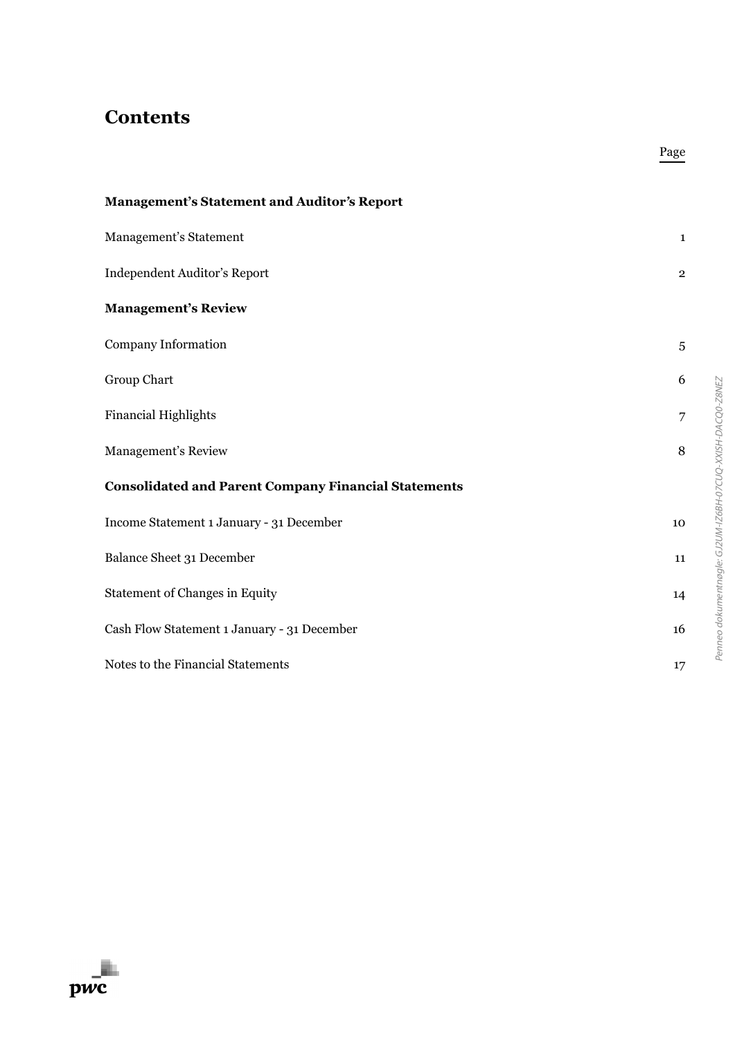## **Contents**

| <b>Management's Statement and Auditor's Report</b>          |                |
|-------------------------------------------------------------|----------------|
| Management's Statement                                      | $\mathbf{1}$   |
| Independent Auditor's Report                                | $\overline{2}$ |
| <b>Management's Review</b>                                  |                |
| <b>Company Information</b>                                  | $\sqrt{5}$     |
| Group Chart                                                 | 6              |
| <b>Financial Highlights</b>                                 | 7              |
| Management's Review                                         | $\, 8$         |
| <b>Consolidated and Parent Company Financial Statements</b> |                |
| Income Statement 1 January - 31 December                    | 10             |
| Balance Sheet 31 December                                   | 11             |
| <b>Statement of Changes in Equity</b>                       | 14             |
| Cash Flow Statement 1 January - 31 December                 | 16             |
| Notes to the Financial Statements                           | 17             |

Page

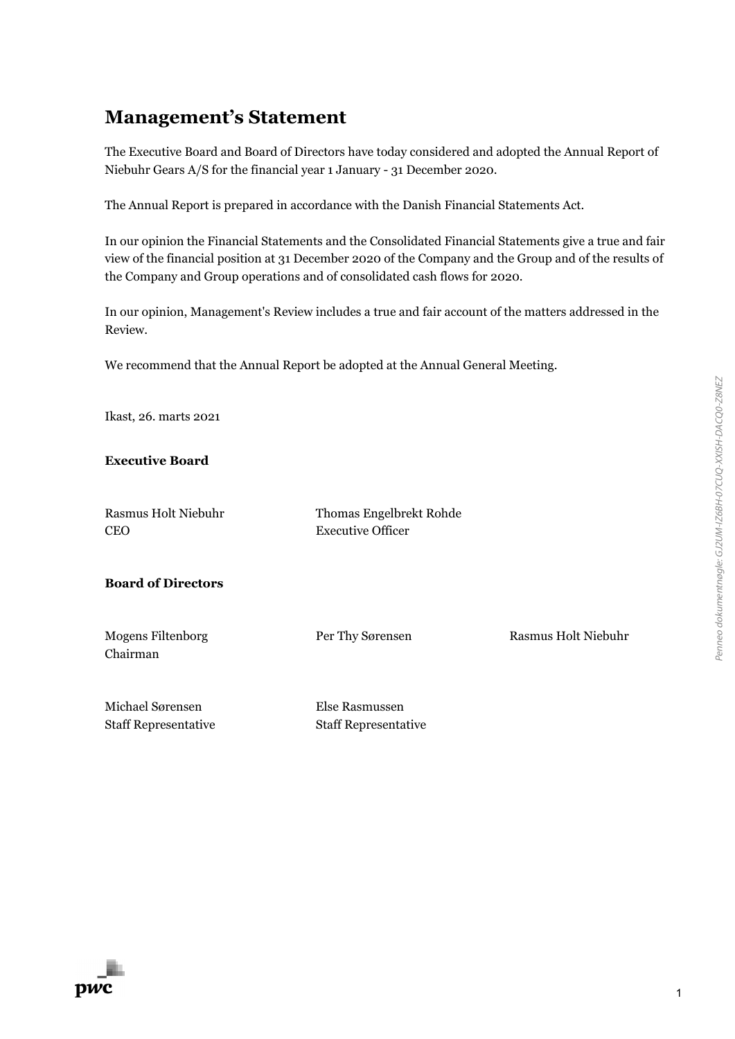# **Management's Statement**

The Executive Board and Board of Directors have today considered and adopted the Annual Report of Niebuhr Gears A/S for the financial year 1 January - 31 December 2020.

The Annual Report is prepared in accordance with the Danish Financial Statements Act.

In our opinion the Financial Statements and the Consolidated Financial Statements give a true and fair view of the financial position at 31 December 2020 of the Company and the Group and of the results of the Company and Group operations and of consolidated cash flows for 2020.

In our opinion, Management's Review includes a true and fair account of the matters addressed in the Review.

We recommend that the Annual Report be adopted at the Annual General Meeting.

Ikast, 26. marts 2021

**Executive Board** 

Rasmus Holt Niebuhr CEO

Thomas Engelbrekt Rohde Executive Officer

**Board of Directors** 

Mogens Filtenborg Chairman

Per Thy Sørensen Rasmus Holt Niebuhr

Michael Sørensen Staff Representative

Else Rasmussen Staff Representative

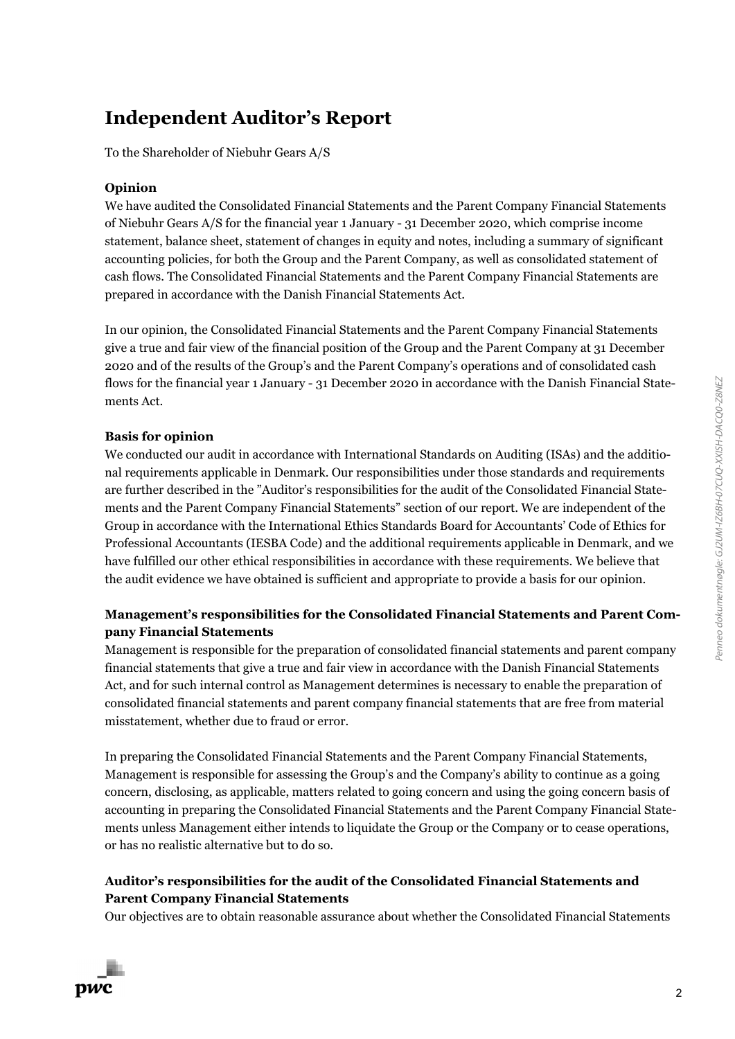## **Independent Auditor's Report**

To the Shareholder of Niebuhr Gears A/S

### **Opinion**

We have audited the Consolidated Financial Statements and the Parent Company Financial Statements of Niebuhr Gears A/S for the financial year 1 January - 31 December 2020, which comprise income statement, balance sheet, statement of changes in equity and notes, including a summary of significant accounting policies, for both the Group and the Parent Company, as well as consolidated statement of cash flows. The Consolidated Financial Statements and the Parent Company Financial Statements are prepared in accordance with the Danish Financial Statements Act.

In our opinion, the Consolidated Financial Statements and the Parent Company Financial Statements give a true and fair view of the financial position of the Group and the Parent Company at 31 December 2020 and of the results of the Group's and the Parent Company's operations and of consolidated cash flows for the financial year 1 January - 31 December 2020 in accordance with the Danish Financial Statements Act.

### **Basis for opinion**

We conducted our audit in accordance with International Standards on Auditing (ISAs) and the additional requirements applicable in Denmark. Our responsibilities under those standards and requirements are further described in the "Auditor's responsibilities for the audit of the Consolidated Financial Statements and the Parent Company Financial Statements" section of our report. We are independent of the Group in accordance with the International Ethics Standards Board for Accountants' Code of Ethics for Professional Accountants (IESBA Code) and the additional requirements applicable in Denmark, and we have fulfilled our other ethical responsibilities in accordance with these requirements. We believe that the audit evidence we have obtained is sufficient and appropriate to provide a basis for our opinion.

### **Management's responsibilities for the Consolidated Financial Statements and Parent Company Financial Statements**

Management is responsible for the preparation of consolidated financial statements and parent company financial statements that give a true and fair view in accordance with the Danish Financial Statements Act, and for such internal control as Management determines is necessary to enable the preparation of consolidated financial statements and parent company financial statements that are free from material misstatement, whether due to fraud or error.

In preparing the Consolidated Financial Statements and the Parent Company Financial Statements, Management is responsible for assessing the Group's and the Company's ability to continue as a going concern, disclosing, as applicable, matters related to going concern and using the going concern basis of accounting in preparing the Consolidated Financial Statements and the Parent Company Financial Statements unless Management either intends to liquidate the Group or the Company or to cease operations, or has no realistic alternative but to do so.

### **Auditor's responsibilities for the audit of the Consolidated Financial Statements and Parent Company Financial Statements**

Our objectives are to obtain reasonable assurance about whether the Consolidated Financial Statements

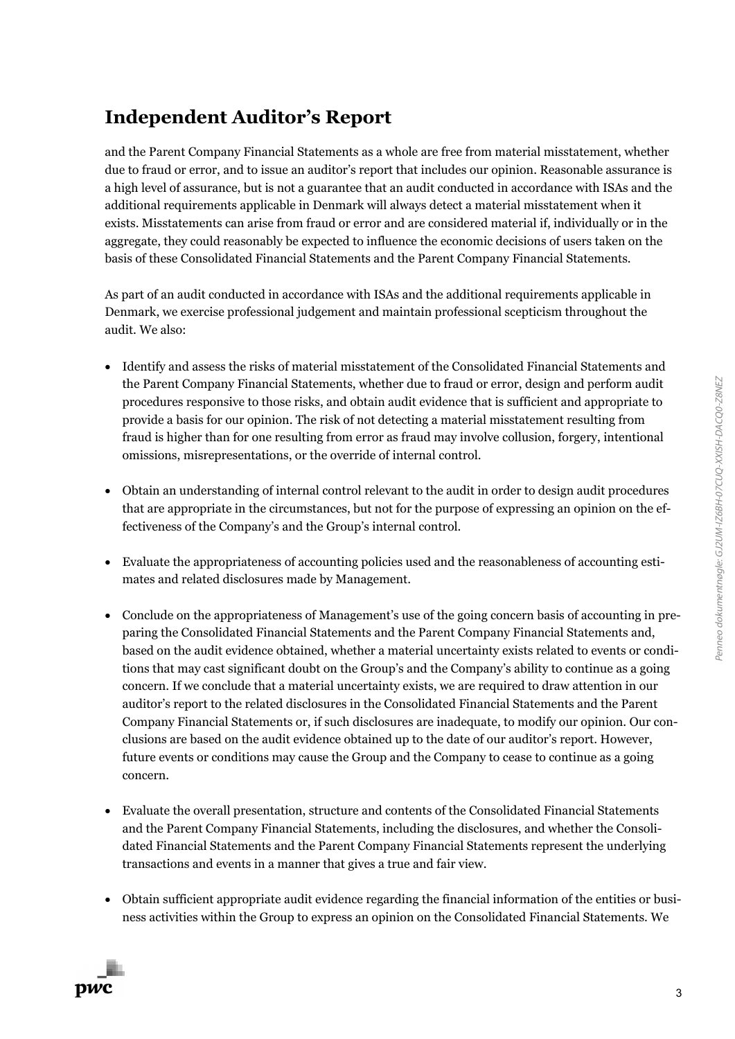# **Independent Auditor's Report**

and the Parent Company Financial Statements as a whole are free from material misstatement, whether due to fraud or error, and to issue an auditor's report that includes our opinion. Reasonable assurance is a high level of assurance, but is not a guarantee that an audit conducted in accordance with ISAs and the additional requirements applicable in Denmark will always detect a material misstatement when it exists. Misstatements can arise from fraud or error and are considered material if, individually or in the aggregate, they could reasonably be expected to influence the economic decisions of users taken on the basis of these Consolidated Financial Statements and the Parent Company Financial Statements.

As part of an audit conducted in accordance with ISAs and the additional requirements applicable in Denmark, we exercise professional judgement and maintain professional scepticism throughout the audit. We also:

- Identify and assess the risks of material misstatement of the Consolidated Financial Statements and the Parent Company Financial Statements, whether due to fraud or error, design and perform audit procedures responsive to those risks, and obtain audit evidence that is sufficient and appropriate to provide a basis for our opinion. The risk of not detecting a material misstatement resulting from fraud is higher than for one resulting from error as fraud may involve collusion, forgery, intentional omissions, misrepresentations, or the override of internal control.
- Obtain an understanding of internal control relevant to the audit in order to design audit procedures that are appropriate in the circumstances, but not for the purpose of expressing an opinion on the effectiveness of the Company's and the Group's internal control.
- Evaluate the appropriateness of accounting policies used and the reasonableness of accounting estimates and related disclosures made by Management.
- Conclude on the appropriateness of Management's use of the going concern basis of accounting in preparing the Consolidated Financial Statements and the Parent Company Financial Statements and, based on the audit evidence obtained, whether a material uncertainty exists related to events or conditions that may cast significant doubt on the Group's and the Company's ability to continue as a going concern. If we conclude that a material uncertainty exists, we are required to draw attention in our auditor's report to the related disclosures in the Consolidated Financial Statements and the Parent Company Financial Statements or, if such disclosures are inadequate, to modify our opinion. Our conclusions are based on the audit evidence obtained up to the date of our auditor's report. However, future events or conditions may cause the Group and the Company to cease to continue as a going concern.
- Evaluate the overall presentation, structure and contents of the Consolidated Financial Statements and the Parent Company Financial Statements, including the disclosures, and whether the Consolidated Financial Statements and the Parent Company Financial Statements represent the underlying transactions and events in a manner that gives a true and fair view.
- Obtain sufficient appropriate audit evidence regarding the financial information of the entities or business activities within the Group to express an opinion on the Consolidated Financial Statements. We

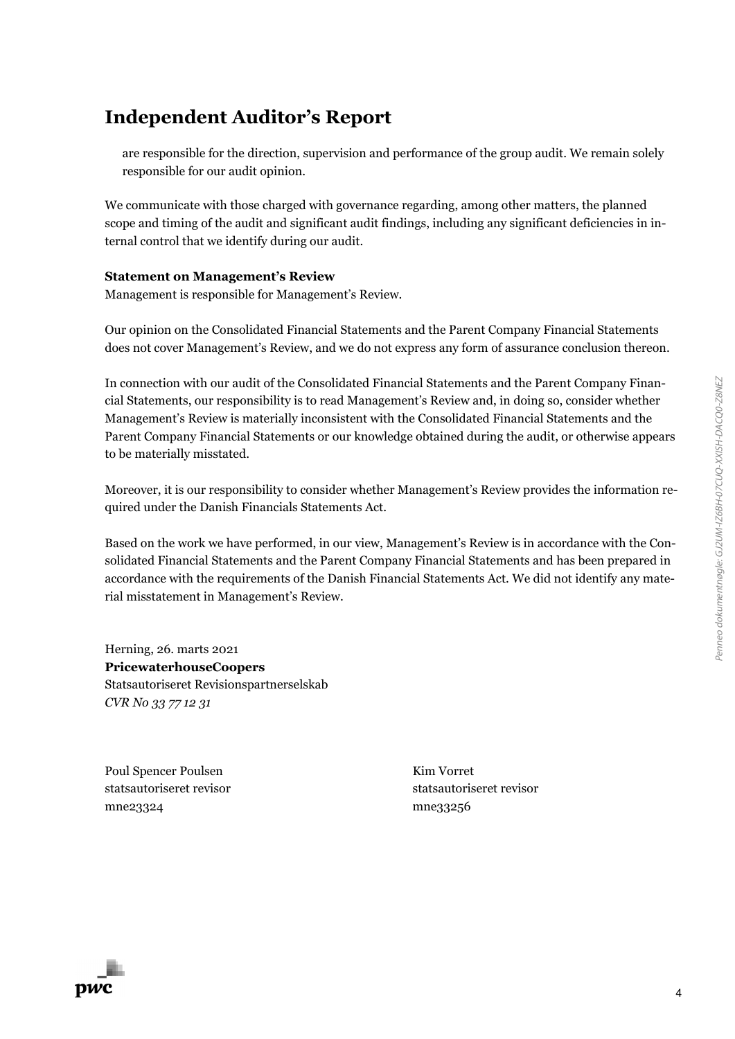# **Independent Auditor's Report**

are responsible for the direction, supervision and performance of the group audit. We remain solely responsible for our audit opinion.

We communicate with those charged with governance regarding, among other matters, the planned scope and timing of the audit and significant audit findings, including any significant deficiencies in internal control that we identify during our audit.

### **Statement on Management's Review**

Management is responsible for Management's Review.

Our opinion on the Consolidated Financial Statements and the Parent Company Financial Statements does not cover Management's Review, and we do not express any form of assurance conclusion thereon.

In connection with our audit of the Consolidated Financial Statements and the Parent Company Financial Statements, our responsibility is to read Management's Review and, in doing so, consider whether Management's Review is materially inconsistent with the Consolidated Financial Statements and the Parent Company Financial Statements or our knowledge obtained during the audit, or otherwise appears to be materially misstated.

Moreover, it is our responsibility to consider whether Management's Review provides the information required under the Danish Financials Statements Act.

Based on the work we have performed, in our view, Management's Review is in accordance with the Consolidated Financial Statements and the Parent Company Financial Statements and has been prepared in accordance with the requirements of the Danish Financial Statements Act. We did not identify any material misstatement in Management's Review.

Herning, 26. marts 2021 **PricewaterhouseCoopers** Statsautoriseret Revisionspartnerselskab *CVR No 33 77 12 31*

Poul Spencer Poulsen statsautoriseret revisor mne23324

Kim Vorret statsautoriseret revisor mne33256

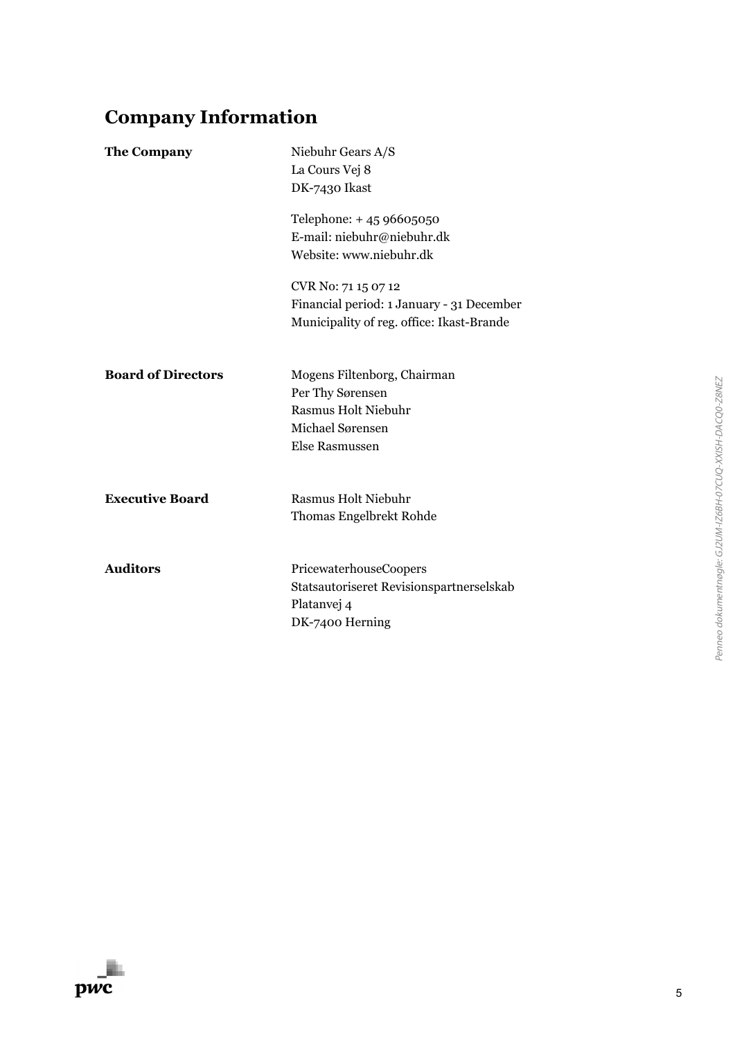# **Company Information**

| <b>The Company</b>        | Niebuhr Gears A/S<br>La Cours Vej 8<br>DK-7430 Ikast<br>Telephone: +45 96605050<br>E-mail: niebuhr@niebuhr.dk<br>Website: www.niebuhr.dk |
|---------------------------|------------------------------------------------------------------------------------------------------------------------------------------|
|                           | CVR No: 71 15 07 12<br>Financial period: 1 January - 31 December<br>Municipality of reg. office: Ikast-Brande                            |
| <b>Board of Directors</b> | Mogens Filtenborg, Chairman<br>Per Thy Sørensen<br><b>Rasmus Holt Niebuhr</b><br>Michael Sørensen<br><b>Else Rasmussen</b>               |
| <b>Executive Board</b>    | <b>Rasmus Holt Niebuhr</b><br><b>Thomas Engelbrekt Rohde</b>                                                                             |
| <b>Auditors</b>           | PricewaterhouseCoopers<br>Statsautoriseret Revisionspartnerselskab<br>Platanvej 4<br>DK-7400 Herning                                     |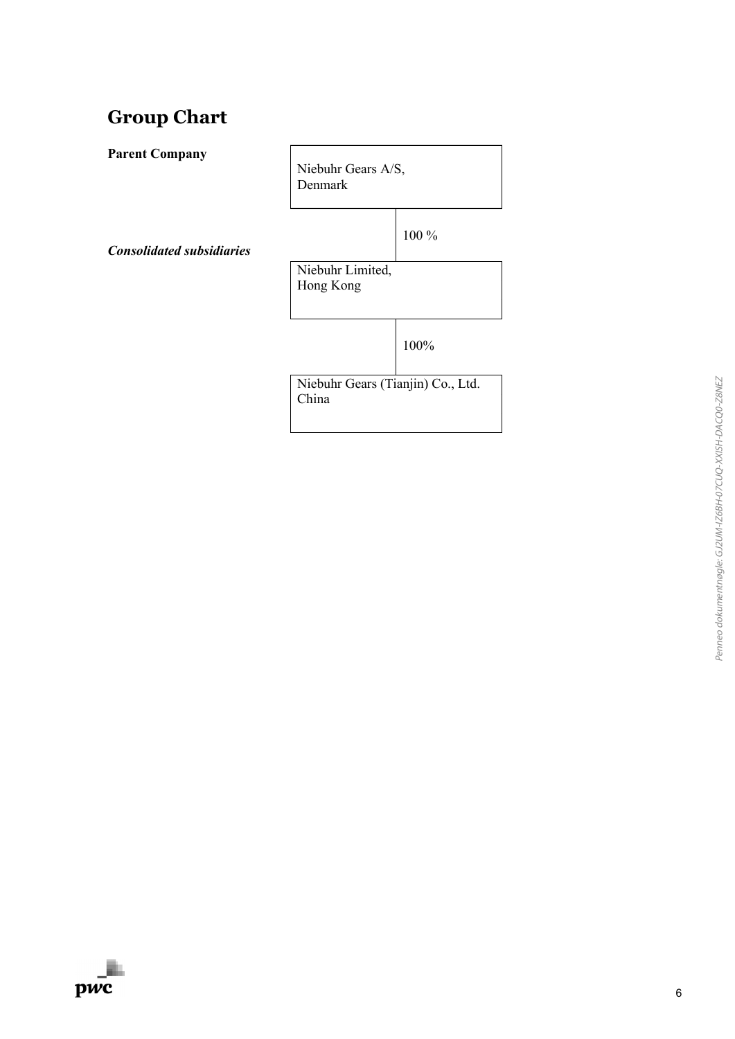## **Group Chart**

**Parent Company** 

Niebuhr Gears A/S, Denmark

*Consolidated subsidiaries*

100 %

Niebuhr Limited, Hong Kong

100%

Niebuhr Gears (Tianjin) Co., Ltd. China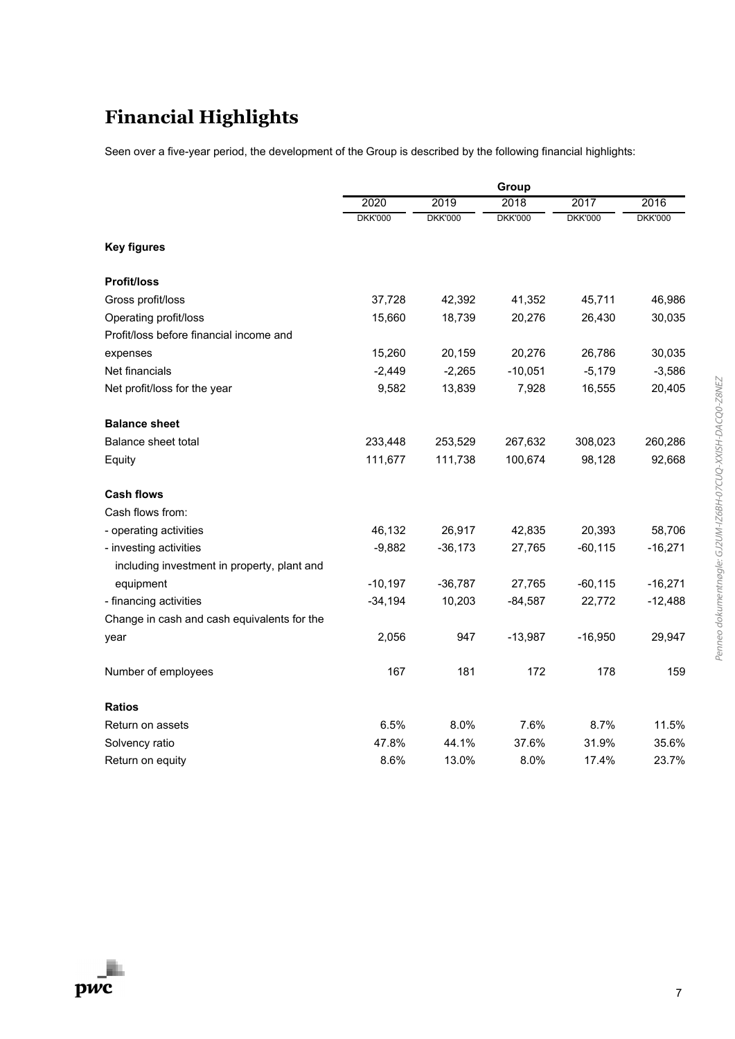# **Financial Highlights**

Seen over a five-year period, the development of the Group is described by the following financial highlights:

|                                             |                |                | Group          |                |                |
|---------------------------------------------|----------------|----------------|----------------|----------------|----------------|
|                                             | 2020           | 2019           | 2018           | 2017           | 2016           |
|                                             | <b>DKK'000</b> | <b>DKK'000</b> | <b>DKK'000</b> | <b>DKK'000</b> | <b>DKK'000</b> |
| <b>Key figures</b>                          |                |                |                |                |                |
| <b>Profit/loss</b>                          |                |                |                |                |                |
| Gross profit/loss                           | 37,728         | 42,392         | 41,352         | 45,711         | 46,986         |
| Operating profit/loss                       | 15,660         | 18,739         | 20,276         | 26,430         | 30,035         |
| Profit/loss before financial income and     |                |                |                |                |                |
| expenses                                    | 15,260         | 20,159         | 20,276         | 26,786         | 30,035         |
| Net financials                              | $-2,449$       | $-2,265$       | $-10,051$      | $-5,179$       | $-3,586$       |
| Net profit/loss for the year                | 9,582          | 13,839         | 7,928          | 16,555         | 20,405         |
| <b>Balance sheet</b>                        |                |                |                |                |                |
| <b>Balance sheet total</b>                  | 233,448        | 253,529        | 267,632        | 308,023        | 260,286        |
| Equity                                      | 111,677        | 111,738        | 100,674        | 98,128         | 92,668         |
| <b>Cash flows</b>                           |                |                |                |                |                |
| Cash flows from:                            |                |                |                |                |                |
| - operating activities                      | 46,132         | 26,917         | 42,835         | 20,393         | 58,706         |
| - investing activities                      | $-9,882$       | $-36,173$      | 27,765         | $-60, 115$     | $-16,271$      |
| including investment in property, plant and |                |                |                |                |                |
| equipment                                   | $-10,197$      | $-36,787$      | 27,765         | $-60, 115$     | $-16,271$      |
| - financing activities                      | $-34,194$      | 10,203         | $-84,587$      | 22,772         | $-12,488$      |
| Change in cash and cash equivalents for the |                |                |                |                |                |
| year                                        | 2,056          | 947            | $-13,987$      | $-16,950$      | 29,947         |
| Number of employees                         | 167            | 181            | 172            | 178            | 159            |
| <b>Ratios</b>                               |                |                |                |                |                |
| Return on assets                            | 6.5%           | 8.0%           | 7.6%           | 8.7%           | 11.5%          |
| Solvency ratio                              | 47.8%          | 44.1%          | 37.6%          | 31.9%          | 35.6%          |
| Return on equity                            | 8.6%           | 13.0%          | 8.0%           | 17.4%          | 23.7%          |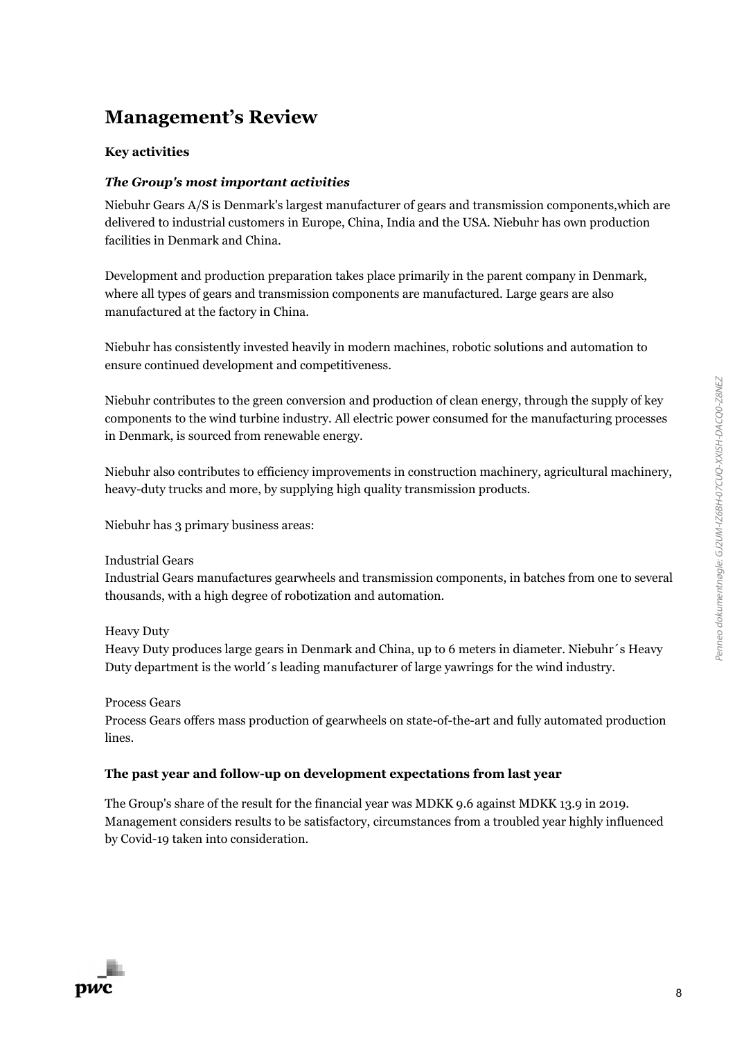## **Management's Review**

#### **Key activities**

#### *The Group's most important activities*

Niebuhr Gears A/S is Denmark's largest manufacturer of gears and transmission components,which are delivered to industrial customers in Europe, China, India and the USA. Niebuhr has own production facilities in Denmark and China.

Development and production preparation takes place primarily in the parent company in Denmark, where all types of gears and transmission components are manufactured. Large gears are also manufactured at the factory in China.

Niebuhr has consistently invested heavily in modern machines, robotic solutions and automation to ensure continued development and competitiveness.

Niebuhr contributes to the green conversion and production of clean energy, through the supply of key components to the wind turbine industry. All electric power consumed for the manufacturing processes in Denmark, is sourced from renewable energy.

Niebuhr also contributes to efficiency improvements in construction machinery, agricultural machinery, heavy-duty trucks and more, by supplying high quality transmission products.

Niebuhr has 3 primary business areas:

Industrial Gears

Industrial Gears manufactures gearwheels and transmission components, in batches from one to several thousands, with a high degree of robotization and automation.

Heavy Duty

Heavy Duty produces large gears in Denmark and China, up to 6 meters in diameter. Niebuhr´s Heavy Duty department is the world´s leading manufacturer of large yawrings for the wind industry.

Process Gears

Process Gears offers mass production of gearwheels on state-of-the-art and fully automated production lines.

### **The past year and follow-up on development expectations from last year**

The Group's share of the result for the financial year was MDKK 9.6 against MDKK 13.9 in 2019. Management considers results to be satisfactory, circumstances from a troubled year highly influenced by Covid-19 taken into consideration.

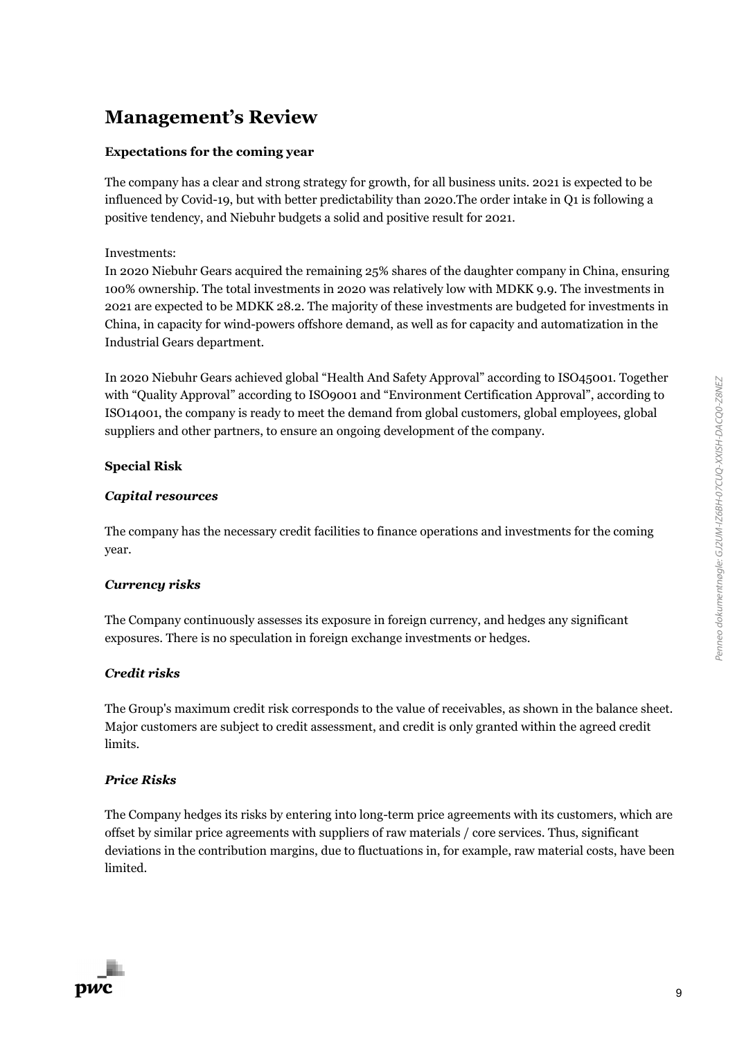## **Management's Review**

#### **Expectations for the coming year**

The company has a clear and strong strategy for growth, for all business units. 2021 is expected to be influenced by Covid-19, but with better predictability than 2020.The order intake in Q1 is following a positive tendency, and Niebuhr budgets a solid and positive result for 2021.

#### Investments:

In 2020 Niebuhr Gears acquired the remaining 25% shares of the daughter company in China, ensuring 100% ownership. The total investments in 2020 was relatively low with MDKK 9.9. The investments in 2021 are expected to be MDKK 28.2. The majority of these investments are budgeted for investments in China, in capacity for wind-powers offshore demand, as well as for capacity and automatization in the Industrial Gears department.

In 2020 Niebuhr Gears achieved global "Health And Safety Approval" according to ISO45001. Together with "Quality Approval" according to ISO9001 and "Environment Certification Approval", according to ISO14001, the company is ready to meet the demand from global customers, global employees, global suppliers and other partners, to ensure an ongoing development of the company.

### **Special Risk**

#### *Capital resources*

The company has the necessary credit facilities to finance operations and investments for the coming year.

#### *Currency risks*

The Company continuously assesses its exposure in foreign currency, and hedges any significant exposures. There is no speculation in foreign exchange investments or hedges.

#### *Credit risks*

The Group's maximum credit risk corresponds to the value of receivables, as shown in the balance sheet. Major customers are subject to credit assessment, and credit is only granted within the agreed credit limits.

#### *Price Risks*

The Company hedges its risks by entering into long-term price agreements with its customers, which are offset by similar price agreements with suppliers of raw materials / core services. Thus, significant deviations in the contribution margins, due to fluctuations in, for example, raw material costs, have been limited.

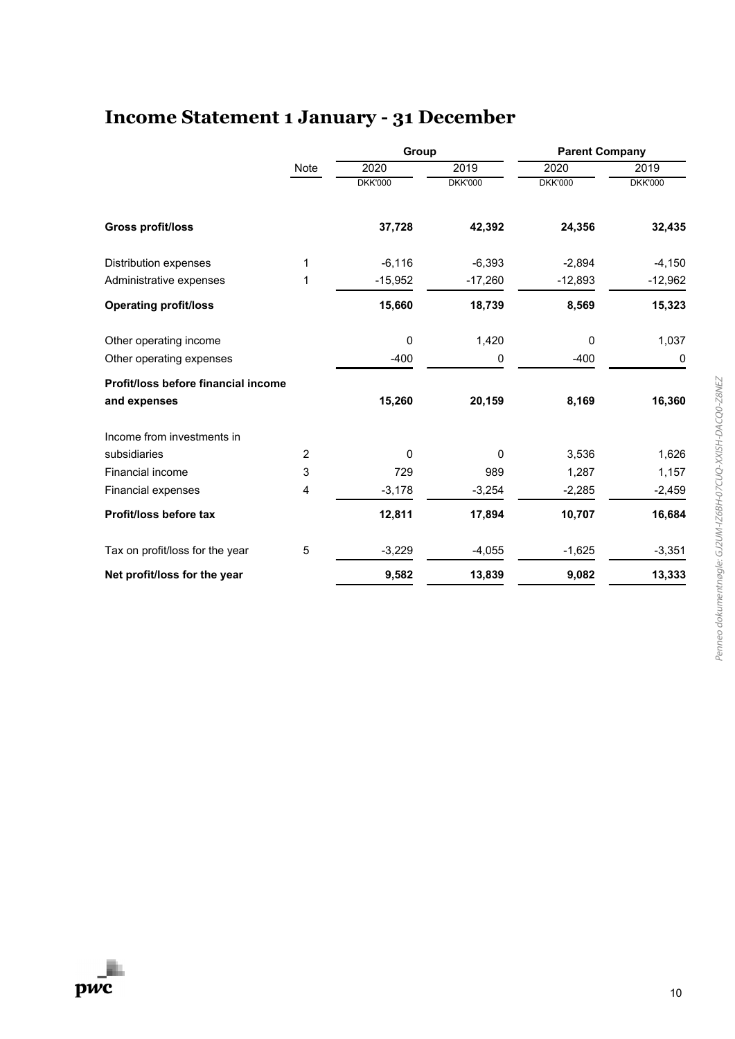# **Income Statement 1 January - 31 December**

|                                     |      | Group          |                | <b>Parent Company</b> |                |  |
|-------------------------------------|------|----------------|----------------|-----------------------|----------------|--|
|                                     | Note | 2020           | 2019           | 2020                  | 2019           |  |
|                                     |      | <b>DKK'000</b> | <b>DKK'000</b> | <b>DKK'000</b>        | <b>DKK'000</b> |  |
| Gross profit/loss                   |      | 37,728         | 42,392         | 24,356                | 32,435         |  |
| <b>Distribution expenses</b>        | 1    | $-6,116$       | $-6,393$       | $-2,894$              | $-4,150$       |  |
| Administrative expenses             | 1    | $-15,952$      | $-17,260$      | $-12,893$             | $-12,962$      |  |
| <b>Operating profit/loss</b>        |      | 15,660         | 18,739         | 8,569                 | 15,323         |  |
| Other operating income              |      | $\mathbf 0$    | 1,420          | 0                     | 1,037          |  |
| Other operating expenses            |      | $-400$         | 0              | $-400$                | 0              |  |
| Profit/loss before financial income |      |                |                |                       |                |  |
| and expenses                        |      | 15,260         | 20,159         | 8,169                 | 16,360         |  |
| Income from investments in          |      |                |                |                       |                |  |
| subsidiaries                        | 2    | $\Omega$       | $\Omega$       | 3,536                 | 1,626          |  |
| Financial income                    | 3    | 729            | 989            | 1,287                 | 1,157          |  |
| <b>Financial expenses</b>           | 4    | $-3,178$       | $-3,254$       | $-2,285$              | $-2,459$       |  |
| Profit/loss before tax              |      | 12,811         | 17,894         | 10,707                | 16,684         |  |
| Tax on profit/loss for the year     | 5    | $-3,229$       | $-4,055$       | $-1,625$              | $-3,351$       |  |
| Net profit/loss for the year        |      | 9,582          | 13,839         | 9,082                 | 13,333         |  |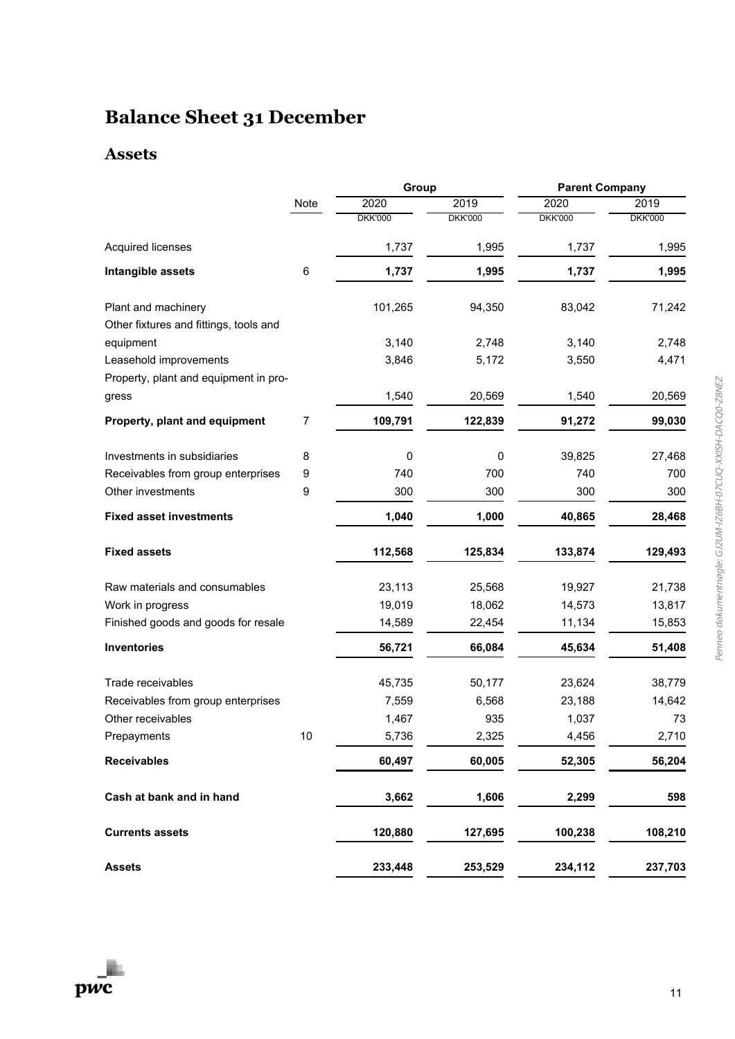# **Balance Sheet 31 December**

### **Assets**

|                                        |                  | Group          |                | <b>Parent Company</b> |                |  |
|----------------------------------------|------------------|----------------|----------------|-----------------------|----------------|--|
|                                        | Note             | 2020           | 2019           | 2020                  | 2019           |  |
|                                        |                  | <b>DKK'000</b> | <b>DKK'000</b> | <b>DKK'000</b>        | <b>DKK'000</b> |  |
| <b>Acquired licenses</b>               |                  | 1,737          | 1,995          | 1,737                 | 1,995          |  |
| Intangible assets                      | 6                | 1,737          | 1,995          | 1,737                 | 1,995          |  |
| Plant and machinery                    |                  | 101,265        | 94,350         | 83,042                | 71,242         |  |
| Other fixtures and fittings, tools and |                  |                |                |                       |                |  |
| equipment                              |                  | 3,140          | 2,748          | 3,140                 | 2,748          |  |
| Leasehold improvements                 |                  | 3,846          | 5,172          | 3,550                 | 4,471          |  |
| Property, plant and equipment in pro-  |                  |                |                |                       |                |  |
| gress                                  |                  | 1,540          | 20,569         | 1,540                 | 20,569         |  |
| Property, plant and equipment          | 7                | 109,791        | 122,839        | 91,272                | 99,030         |  |
| Investments in subsidiaries            | 8                | 0              | 0              | 39,825                | 27,468         |  |
| Receivables from group enterprises     | $\boldsymbol{9}$ | 740            | 700            | 740                   | 700            |  |
| Other investments                      | 9                | 300            | 300            | 300                   | 300            |  |
| <b>Fixed asset investments</b>         |                  | 1,040          | 1,000          | 40,865                | 28,468         |  |
| <b>Fixed assets</b>                    |                  | 112,568        | 125,834        | 133,874               | 129,493        |  |
| Raw materials and consumables          |                  | 23,113         | 25,568         | 19,927                | 21,738         |  |
| Work in progress                       |                  | 19,019         | 18,062         | 14,573                | 13,817         |  |
| Finished goods and goods for resale    |                  | 14,589         | 22,454         | 11,134                | 15,853         |  |
| <b>Inventories</b>                     |                  | 56,721         | 66,084         | 45,634                | 51,408         |  |
| Trade receivables                      |                  | 45,735         | 50,177         | 23,624                | 38,779         |  |
| Receivables from group enterprises     |                  | 7,559          | 6,568          | 23,188                | 14,642         |  |
| Other receivables                      |                  | 1,467          | 935            | 1,037                 | 73             |  |
| Prepayments                            | 10               | 5,736          | 2,325          | 4,456                 | 2,710          |  |
| <b>Receivables</b>                     |                  | 60,497         | 60,005         | 52,305                | 56,204         |  |
| Cash at bank and in hand               |                  | 3,662          | 1,606          | 2,299                 | 598            |  |
| <b>Currents assets</b>                 |                  | 120,880        | 127,695        | 100,238               | 108,210        |  |
|                                        |                  |                |                |                       |                |  |
| <b>Assets</b>                          |                  | 233,448        | 253,529        | 234,112               | 237,703        |  |

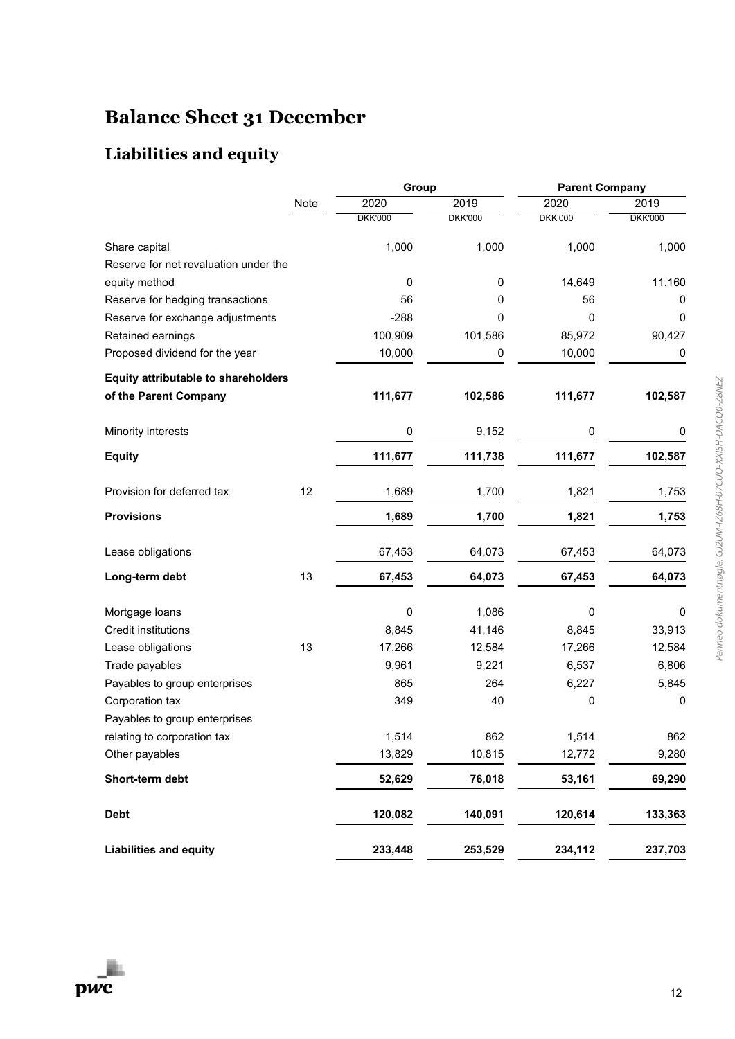# **Balance Sheet 31 December**

### **Liabilities and equity**

|                                            |      | Group          |                | <b>Parent Company</b> |                  |  |
|--------------------------------------------|------|----------------|----------------|-----------------------|------------------|--|
|                                            | Note | 2020           | 2019           | 2020                  | 2019             |  |
|                                            |      | <b>DKK'000</b> | <b>DKK'000</b> | <b>DKK'000</b>        | <b>DKK'000</b>   |  |
| Share capital                              |      | 1,000          | 1,000          | 1,000                 | 1,000            |  |
| Reserve for net revaluation under the      |      |                |                |                       |                  |  |
| equity method                              |      | 0              | 0              | 14,649                | 11,160           |  |
| Reserve for hedging transactions           |      | 56             | 0              | 56                    | 0                |  |
| Reserve for exchange adjustments           |      | $-288$         | 0              | 0                     | 0                |  |
| Retained earnings                          |      | 100,909        | 101,586        | 85,972                | 90,427           |  |
| Proposed dividend for the year             |      | 10,000         | 0              | 10,000                | 0                |  |
| <b>Equity attributable to shareholders</b> |      |                |                |                       |                  |  |
| of the Parent Company                      |      | 111,677        | 102,586        | 111,677               | 102,587          |  |
| Minority interests                         |      | 0              | 9,152          | 0                     | $\boldsymbol{0}$ |  |
| <b>Equity</b>                              |      | 111,677        | 111,738        | 111,677               | 102,587          |  |
| Provision for deferred tax                 | 12   | 1,689          | 1,700          | 1,821                 | 1,753            |  |
| <b>Provisions</b>                          |      | 1,689          | 1,700          | 1,821                 | 1,753            |  |
| Lease obligations                          |      | 67,453         | 64,073         | 67,453                | 64,073           |  |
| Long-term debt                             | 13   | 67,453         | 64,073         | 67,453                | 64,073           |  |
| Mortgage loans                             |      | 0              | 1,086          | $\mathbf 0$           | 0                |  |
| <b>Credit institutions</b>                 |      | 8,845          | 41,146         | 8,845                 | 33,913           |  |
| Lease obligations                          | 13   | 17,266         | 12,584         | 17,266                | 12,584           |  |
| Trade payables                             |      | 9,961          | 9,221          | 6,537                 | 6,806            |  |
| Payables to group enterprises              |      | 865            | 264            | 6,227                 | 5,845            |  |
| Corporation tax                            |      | 349            | 40             | 0                     | 0                |  |
| Payables to group enterprises              |      |                |                |                       |                  |  |
| relating to corporation tax                |      | 1,514          | 862            | 1,514                 | 862              |  |
| Other payables                             |      | 13,829         | 10,815         | 12,772                | 9,280            |  |
| Short-term debt                            |      | 52,629         | 76,018         | 53,161                | 69,290           |  |
| <b>Debt</b>                                |      | 120,082        | 140,091        | 120,614               | 133,363          |  |
| <b>Liabilities and equity</b>              |      | 233,448        | 253,529        | 234,112               | 237,703          |  |

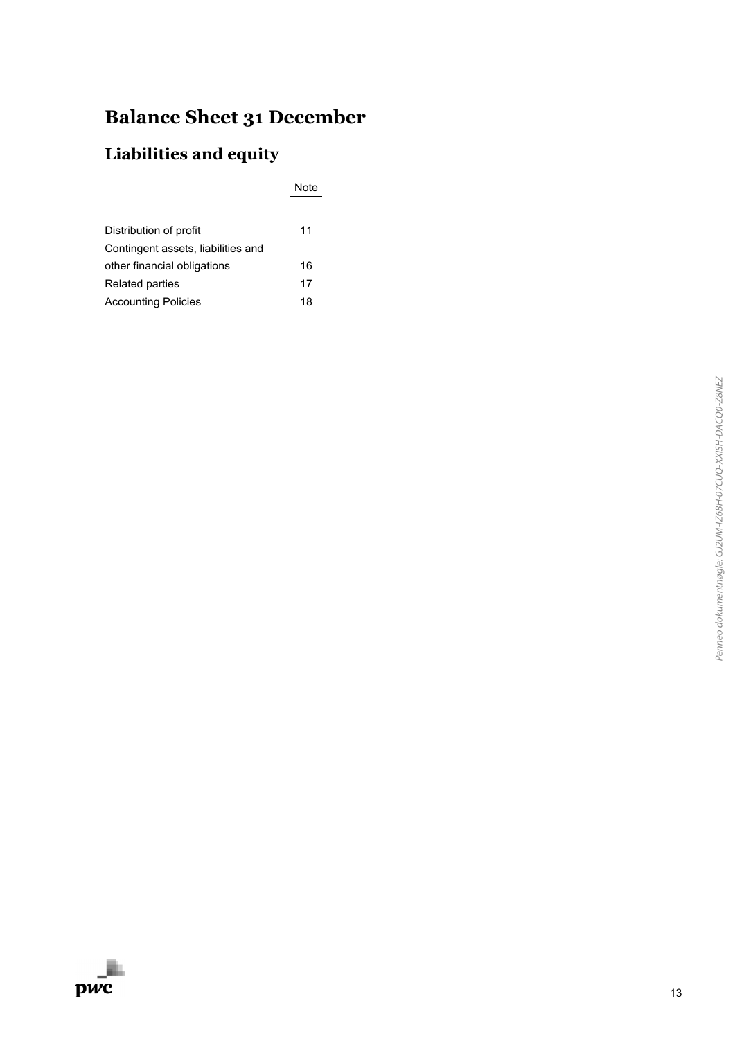# **Balance Sheet 31 December**

### **Liabilities and equity**

Note

| Distribution of profit             | 11 |
|------------------------------------|----|
| Contingent assets, liabilities and |    |
| other financial obligations        | 16 |
| Related parties                    | 17 |
| <b>Accounting Policies</b>         | 18 |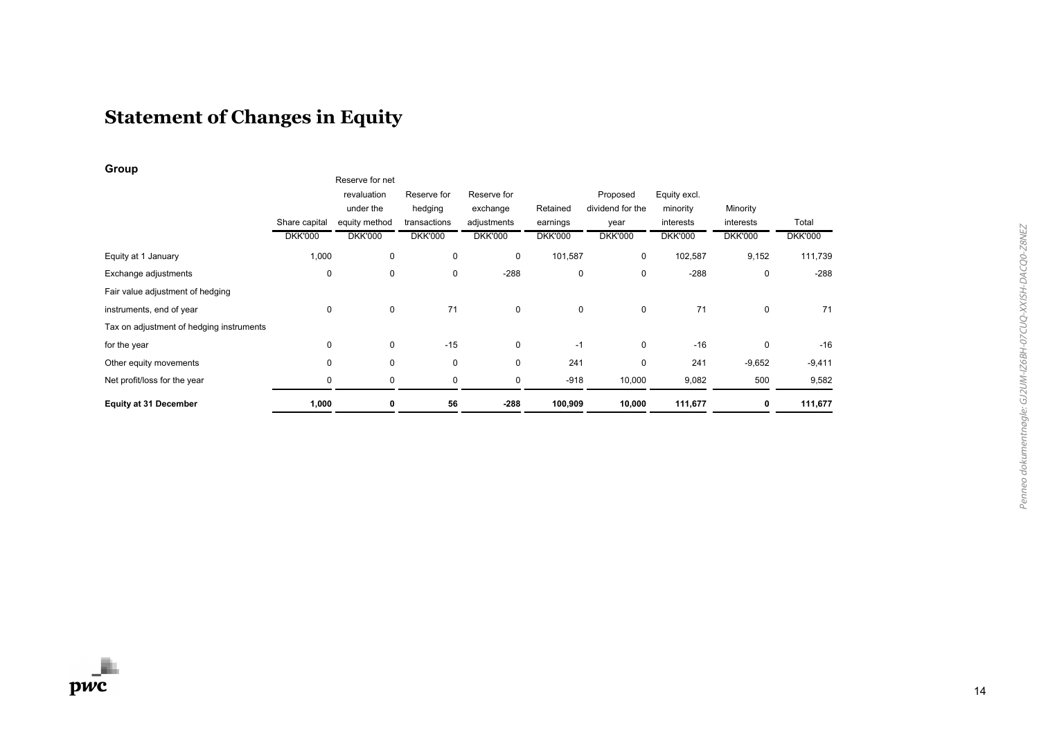# **Statement of Changes in Equity**

**Group**

|                                          | Share capital<br><b>DKK'000</b> | Reserve for net<br>revaluation<br>under the<br>equity method<br><b>DKK'000</b> | Reserve for<br>hedging<br>transactions<br><b>DKK'000</b> | Reserve for<br>exchange<br>adjustments<br><b>DKK'000</b> | Retained<br>earnings<br><b>DKK'000</b> | Proposed<br>dividend for the<br>year<br><b>DKK'000</b> | Equity excl.<br>minority<br>interests<br><b>DKK'000</b> | Minority<br>interests<br><b>DKK'000</b> | Total<br><b>DKK'000</b> |
|------------------------------------------|---------------------------------|--------------------------------------------------------------------------------|----------------------------------------------------------|----------------------------------------------------------|----------------------------------------|--------------------------------------------------------|---------------------------------------------------------|-----------------------------------------|-------------------------|
|                                          |                                 |                                                                                |                                                          |                                                          |                                        |                                                        |                                                         |                                         |                         |
| Equity at 1 January                      | 1,000                           | $\mathbf 0$                                                                    | 0                                                        | $\mathbf 0$                                              | 101,587                                | $\mathbf 0$                                            | 102,587                                                 | 9,152                                   | 111,739                 |
| Exchange adjustments                     | $\mathbf 0$                     | $\mathbf 0$                                                                    | 0                                                        | $-288$                                                   | 0                                      | 0                                                      | $-288$                                                  | 0                                       | $-288$                  |
| Fair value adjustment of hedging         |                                 |                                                                                |                                                          |                                                          |                                        |                                                        |                                                         |                                         |                         |
| instruments, end of year                 | 0                               | $\mathbf 0$                                                                    | 71                                                       | $\mathbf 0$                                              | 0                                      | $\mathbf 0$                                            | 71                                                      | 0                                       | 71                      |
| Tax on adjustment of hedging instruments |                                 |                                                                                |                                                          |                                                          |                                        |                                                        |                                                         |                                         |                         |
| for the year                             | 0                               | $\mathbf 0$                                                                    | $-15$                                                    | $\mathbf 0$                                              | $-1$                                   | $\mathbf 0$                                            | $-16$                                                   | 0                                       | $-16$                   |
| Other equity movements                   | $\mathbf 0$                     | $\mathbf 0$                                                                    | 0                                                        | $\mathbf 0$                                              | 241                                    | 0                                                      | 241                                                     | $-9,652$                                | $-9,411$                |
| Net profit/loss for the year             | 0                               | 0                                                                              | 0                                                        | 0                                                        | $-918$                                 | 10,000                                                 | 9,082                                                   | 500                                     | 9,582                   |
| <b>Equity at 31 December</b>             | 1,000                           | 0                                                                              | 56                                                       | $-288$                                                   | 100,909                                | 10,000                                                 | 111,677                                                 | 0                                       | 111,677                 |
|                                          |                                 |                                                                                |                                                          |                                                          |                                        |                                                        |                                                         |                                         |                         |

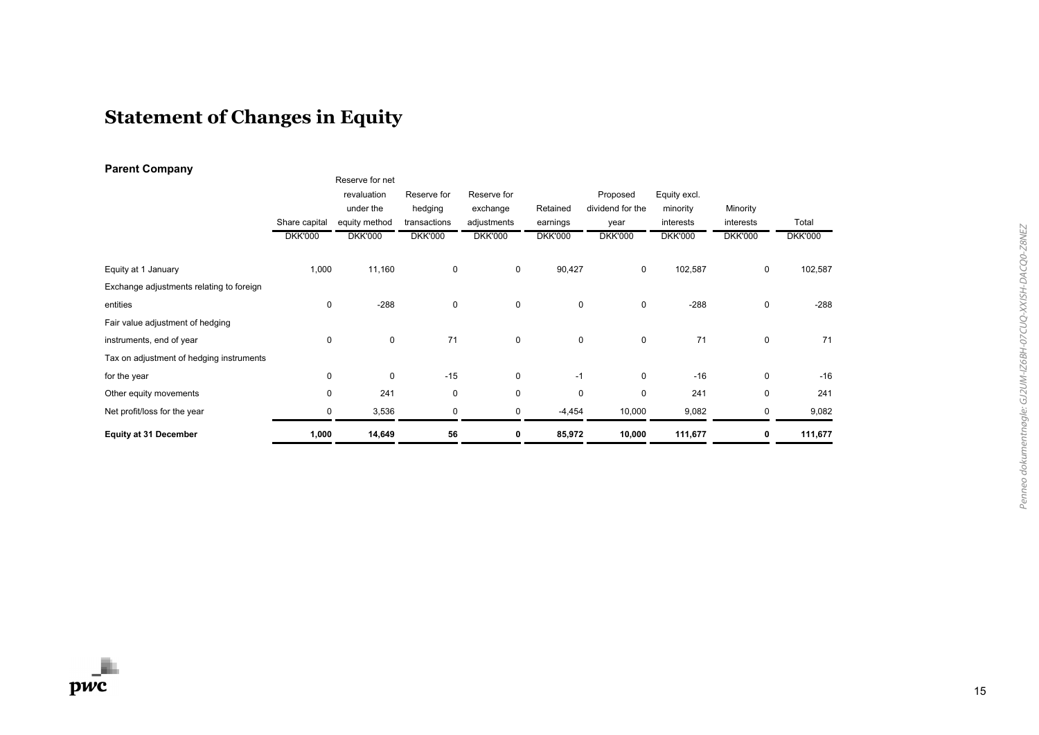# **Statement of Changes in Equity**

### **Parent Company**

| . .                                      |                | Reserve for net |                |                |                |                  |                |                |                |
|------------------------------------------|----------------|-----------------|----------------|----------------|----------------|------------------|----------------|----------------|----------------|
|                                          |                | revaluation     | Reserve for    | Reserve for    |                | Proposed         | Equity excl.   |                |                |
|                                          |                | under the       | hedging        | exchange       | Retained       | dividend for the | minority       | Minority       |                |
|                                          | Share capital  | equity method   | transactions   | adjustments    | earnings       | year             | interests      | interests      | Total          |
|                                          | <b>DKK'000</b> | <b>DKK'000</b>  | <b>DKK'000</b> | <b>DKK'000</b> | <b>DKK'000</b> | <b>DKK'000</b>   | <b>DKK'000</b> | <b>DKK'000</b> | <b>DKK'000</b> |
| Equity at 1 January                      | 1,000          | 11,160          | 0              | 0              | 90,427         | 0                | 102,587        | 0              | 102,587        |
| Exchange adjustments relating to foreign |                |                 |                |                |                |                  |                |                |                |
| entities                                 | $\mathbf 0$    | $-288$          | $\mathbf 0$    | $\mathbf 0$    | 0              | 0                | $-288$         | 0              | $-288$         |
| Fair value adjustment of hedging         |                |                 |                |                |                |                  |                |                |                |
| instruments, end of year                 | $\mathbf 0$    | $\mathbf 0$     | 71             | $\mathbf 0$    | 0              | 0                | 71             | 0              | 71             |
| Tax on adjustment of hedging instruments |                |                 |                |                |                |                  |                |                |                |
| for the year                             | $\mathbf 0$    | $\mathbf 0$     | $-15$          | $\mathbf 0$    | $-1$           | 0                | $-16$          | 0              | $-16$          |
| Other equity movements                   | 0              | 241             | 0              | $\mathbf 0$    | 0              | 0                | 241            | 0              | 241            |
| Net profit/loss for the year             | 0              | 3,536           | 0              | 0              | $-4,454$       | 10,000           | 9,082          | 0              | 9,082          |
| <b>Equity at 31 December</b>             | 1,000          | 14,649          | 56             | 0              | 85,972         | 10,000           | 111,677        | 0              | 111,677        |

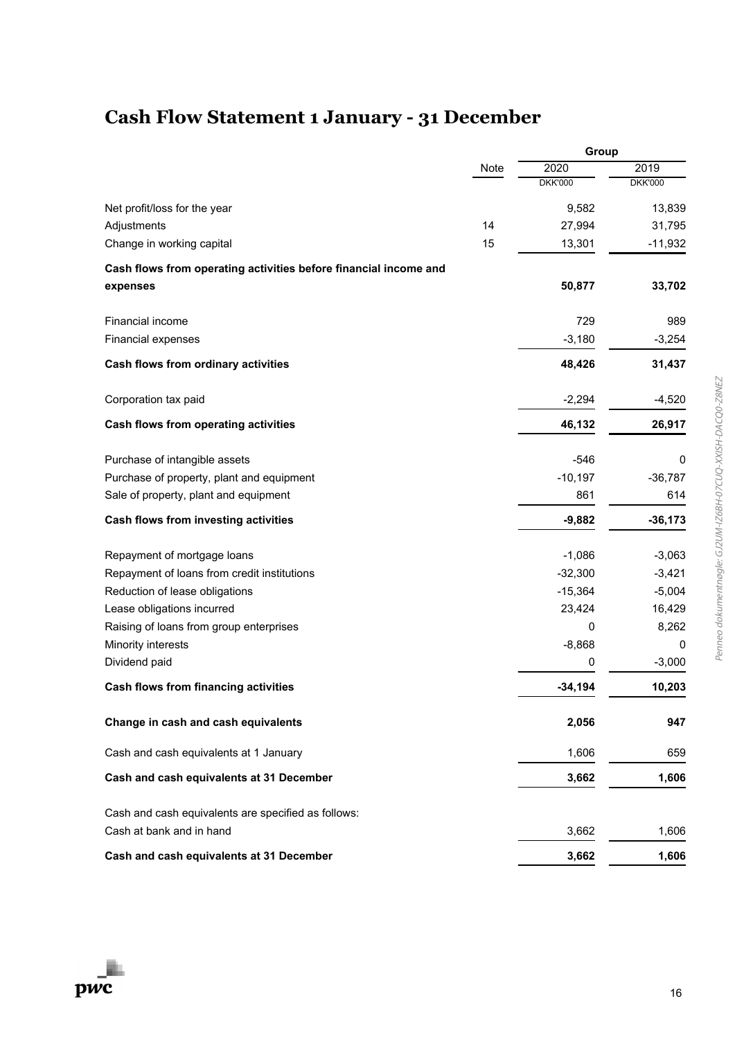# **Cash Flow Statement 1 January - 31 December**

|                                                                  |      | Group          |                |  |
|------------------------------------------------------------------|------|----------------|----------------|--|
|                                                                  | Note | 2020           | 2019           |  |
|                                                                  |      | <b>DKK'000</b> | <b>DKK'000</b> |  |
| Net profit/loss for the year                                     |      | 9,582          | 13,839         |  |
| Adjustments                                                      | 14   | 27,994         | 31,795         |  |
| Change in working capital                                        | 15   | 13,301         | $-11,932$      |  |
| Cash flows from operating activities before financial income and |      |                |                |  |
| expenses                                                         |      | 50,877         | 33,702         |  |
| <b>Financial income</b>                                          |      | 729            | 989            |  |
| Financial expenses                                               |      | $-3,180$       | $-3,254$       |  |
| Cash flows from ordinary activities                              |      | 48,426         | 31,437         |  |
| Corporation tax paid                                             |      | $-2,294$       | $-4,520$       |  |
| Cash flows from operating activities                             |      | 46,132         | 26,917         |  |
| Purchase of intangible assets                                    |      | $-546$         | 0              |  |
| Purchase of property, plant and equipment                        |      | $-10,197$      | $-36,787$      |  |
| Sale of property, plant and equipment                            |      | 861            | 614            |  |
| Cash flows from investing activities                             |      | $-9,882$       | $-36,173$      |  |
| Repayment of mortgage loans                                      |      | $-1,086$       | $-3,063$       |  |
| Repayment of loans from credit institutions                      |      | $-32,300$      | $-3,421$       |  |
| Reduction of lease obligations                                   |      | $-15,364$      | $-5,004$       |  |
| Lease obligations incurred                                       |      | 23,424         | 16,429         |  |
| Raising of loans from group enterprises                          |      | 0              | 8,262          |  |
| Minority interests                                               |      | $-8,868$       | 0              |  |
| Dividend paid                                                    |      | 0              | $-3,000$       |  |
| <b>Cash flows from financing activities</b>                      |      | $-34,194$      | 10,203         |  |
| Change in cash and cash equivalents                              |      | 2,056          | 947            |  |
| Cash and cash equivalents at 1 January                           |      | 1,606          | 659            |  |
| Cash and cash equivalents at 31 December                         |      | 3,662          | 1,606          |  |
| Cash and cash equivalents are specified as follows:              |      |                |                |  |
| Cash at bank and in hand                                         |      | 3,662          | 1,606          |  |
| Cash and cash equivalents at 31 December                         |      | 3,662          | 1,606          |  |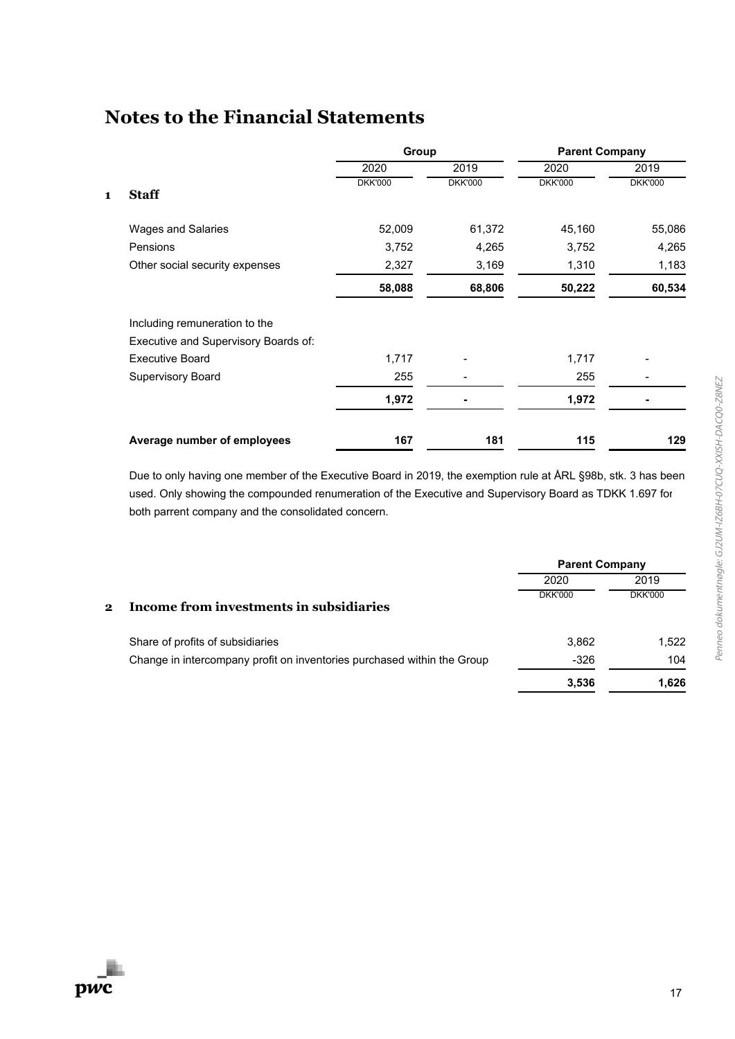|                                      |                |                | <b>Parent Company</b> |                |  |
|--------------------------------------|----------------|----------------|-----------------------|----------------|--|
|                                      | 2020           | 2019           | 2020                  | 2019           |  |
| <b>Staff</b>                         | <b>DKK'000</b> | <b>DKK'000</b> | <b>DKK'000</b>        | <b>DKK'000</b> |  |
| <b>Wages and Salaries</b>            | 52,009         | 61,372         | 45,160                | 55,086         |  |
| Pensions                             | 3,752          | 4,265          | 3,752                 | 4,265          |  |
| Other social security expenses       | 2,327          | 3,169          | 1,310                 | 1,183          |  |
|                                      | 58,088         | 68,806         | 50,222                | 60,534         |  |
| Including remuneration to the        |                |                |                       |                |  |
| Executive and Supervisory Boards of: |                |                |                       |                |  |
| <b>Executive Board</b>               | 1,717          |                | 1,717                 |                |  |
| <b>Supervisory Board</b>             | 255            |                | 255                   |                |  |
|                                      | 1,972          |                | 1,972                 |                |  |
| Average number of employees          | 167            | 181            | 115                   | 129            |  |
|                                      |                |                | Group                 |                |  |

Due to only having one member of the Executive Board in 2019, the exemption rule at ÅRL §98b, stk. 3 has been used. Only showing the compounded renumeration of the Executive and Supervisory Board as TDKK 1.697 for both parrent company and the consolidated concern.

|              |                                                                         | <b>Parent Company</b> |                |  |
|--------------|-------------------------------------------------------------------------|-----------------------|----------------|--|
|              |                                                                         | 2020                  | 2019           |  |
| $\mathbf{2}$ | Income from investments in subsidiaries                                 | <b>DKK'000</b>        | <b>DKK'000</b> |  |
|              | Share of profits of subsidiaries                                        | 3,862                 | 1.522          |  |
|              | Change in intercompany profit on inventories purchased within the Group | $-326$                | 104            |  |
|              |                                                                         | 3,536                 | 1.626          |  |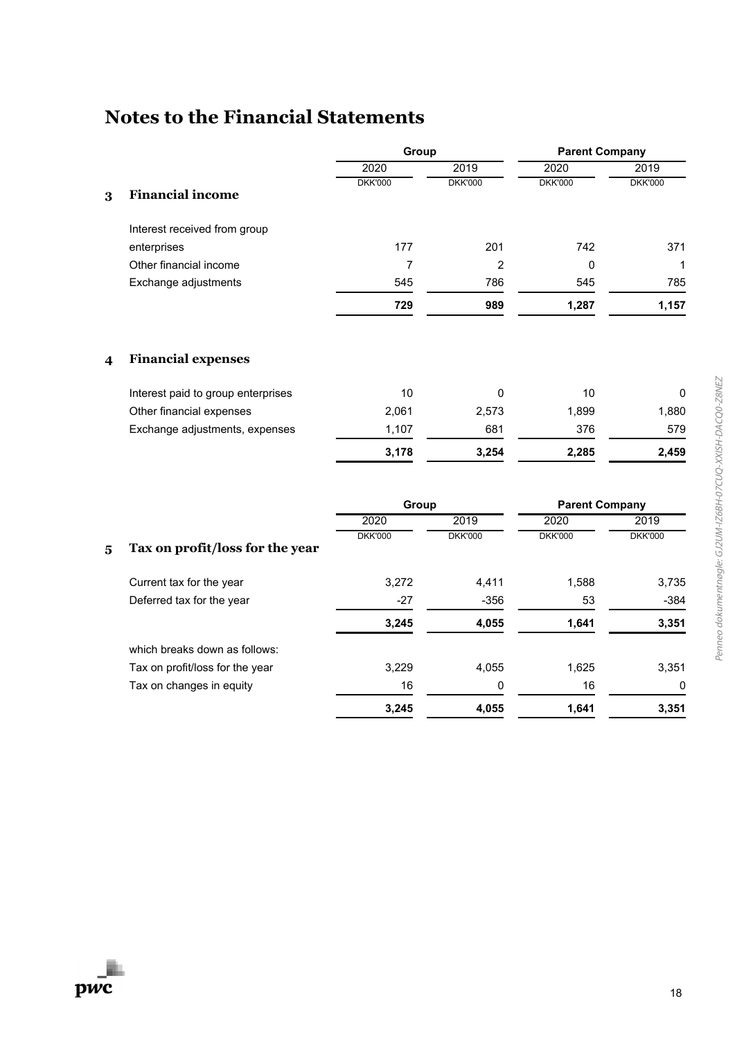|   |                              | Group          |                | <b>Parent Company</b> |                |
|---|------------------------------|----------------|----------------|-----------------------|----------------|
|   |                              | 2020           | 2019           | 2020                  | 2019           |
| 3 | <b>Financial income</b>      | <b>DKK'000</b> | <b>DKK'000</b> | <b>DKK'000</b>        | <b>DKK'000</b> |
|   | Interest received from group |                |                |                       |                |
|   | enterprises                  | 177            | 201            | 742                   | 371            |
|   | Other financial income       |                | 2              | 0                     | 1              |
|   | Exchange adjustments         | 545            | 786            | 545                   | 785            |
|   |                              | 729            | 989            | 1,287                 | 1,157          |
|   |                              |                |                |                       |                |

### **4 Financial expenses**

|                                    | 3.178 | 3.254 | 2.285 | 2.459 |
|------------------------------------|-------|-------|-------|-------|
| Exchange adjustments, expenses     | 1.107 | 681   | 376   | 579   |
| Other financial expenses           | 2.061 | 2.573 | 1.899 | 1.880 |
| Interest paid to group enterprises | 10    |       | 10    |       |

|   |                                 | Group          |                | <b>Parent Company</b> |                |
|---|---------------------------------|----------------|----------------|-----------------------|----------------|
|   |                                 | 2020           | 2019           | 2020                  | 2019           |
| 5 | Tax on profit/loss for the year | <b>DKK'000</b> | <b>DKK'000</b> | <b>DKK'000</b>        | <b>DKK'000</b> |
|   | Current tax for the year        | 3.272          | 4.411          | 1,588                 | 3,735          |
|   | Deferred tax for the year       | $-27$          | $-356$         | 53                    | $-384$         |
|   |                                 | 3,245          | 4,055          | 1,641                 | 3,351          |
|   | which breaks down as follows:   |                |                |                       |                |
|   | Tax on profit/loss for the year | 3.229          | 4.055          | 1,625                 | 3,351          |
|   | Tax on changes in equity        | 16             | 0              | 16                    | $\Omega$       |
|   |                                 | 3,245          | 4,055          | 1,641                 | 3,351          |

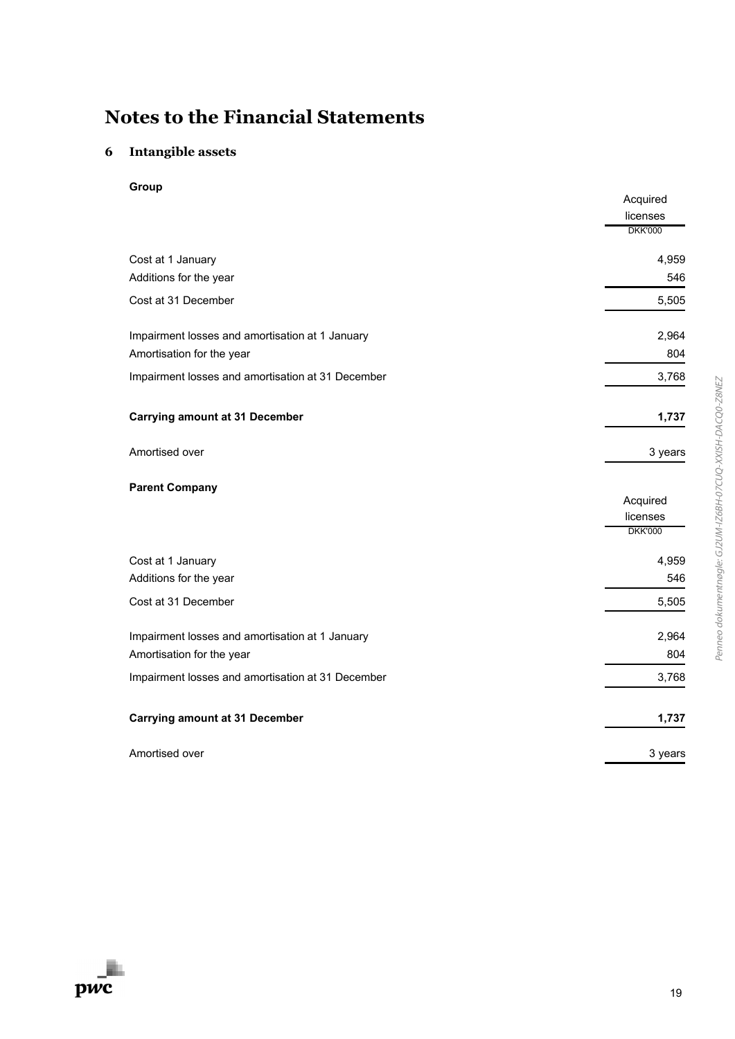### **6 Intangible assets**

**Group**

|                                                   | Acquired<br>licenses       |
|---------------------------------------------------|----------------------------|
|                                                   | <b>DKK'000</b>             |
| Cost at 1 January                                 | 4,959                      |
| Additions for the year                            | 546                        |
| Cost at 31 December                               | 5,505                      |
| Impairment losses and amortisation at 1 January   | 2,964                      |
| Amortisation for the year                         | 804                        |
| Impairment losses and amortisation at 31 December | 3,768                      |
| <b>Carrying amount at 31 December</b>             | 1,737                      |
| Amortised over                                    | 3 years                    |
| <b>Parent Company</b>                             |                            |
|                                                   | Acquired                   |
|                                                   | licenses<br><b>DKK'000</b> |
| Cost at 1 January                                 | 4,959                      |
| Additions for the year                            | 546                        |
| Cost at 31 December                               | 5,505                      |
| Impairment losses and amortisation at 1 January   | 2,964                      |
| Amortisation for the year                         | 804                        |
| Impairment losses and amortisation at 31 December | 3,768                      |
| <b>Carrying amount at 31 December</b>             | 1,737                      |
| Amortised over                                    | 3 years                    |
|                                                   |                            |

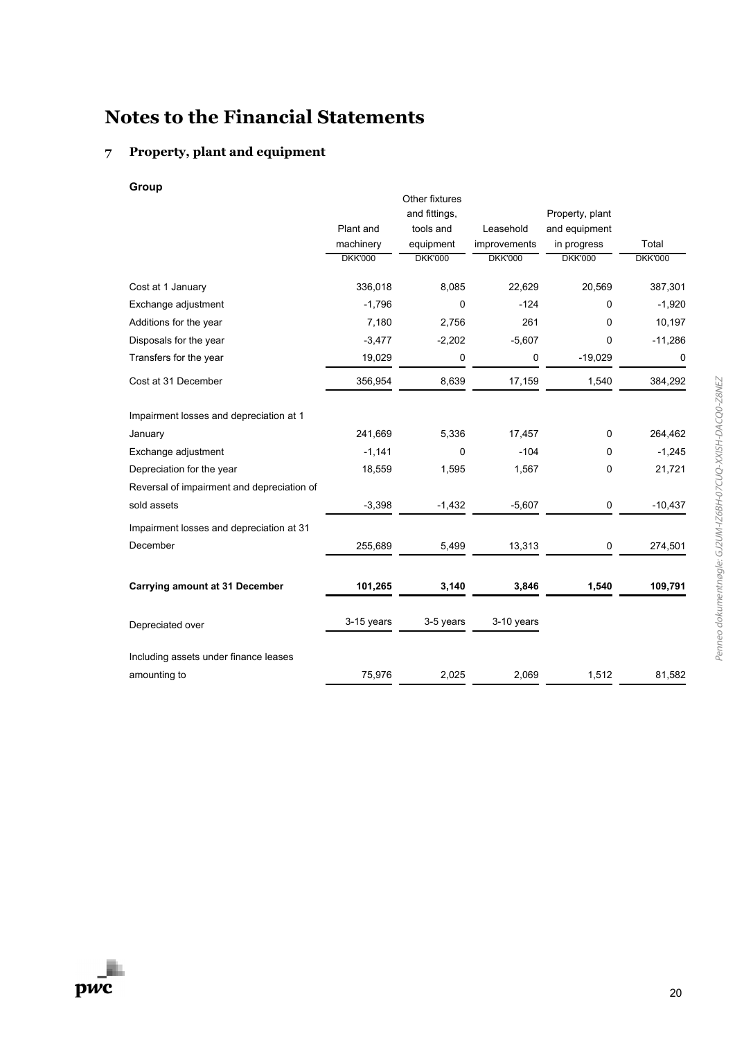### **7 Property, plant and equipment**

**Group**

|                                            |                | Other fixtures |                |                 |                |
|--------------------------------------------|----------------|----------------|----------------|-----------------|----------------|
|                                            |                | and fittings,  |                | Property, plant |                |
|                                            | Plant and      | tools and      | Leasehold      | and equipment   |                |
|                                            | machinery      | equipment      | improvements   | in progress     | Total          |
|                                            | <b>DKK'000</b> | <b>DKK'000</b> | <b>DKK'000</b> | <b>DKK'000</b>  | <b>DKK'000</b> |
| Cost at 1 January                          | 336,018        | 8,085          | 22,629         | 20,569          | 387,301        |
| Exchange adjustment                        | $-1,796$       | 0              | $-124$         | $\Omega$        | $-1,920$       |
| Additions for the year                     | 7,180          | 2,756          | 261            | $\Omega$        | 10,197         |
| Disposals for the year                     | $-3,477$       | $-2,202$       | $-5,607$       | 0               | $-11,286$      |
| Transfers for the year                     | 19,029         | $\pmb{0}$      | 0              | $-19,029$       | $\mathbf 0$    |
| Cost at 31 December                        | 356,954        | 8,639          | 17,159         | 1,540           | 384,292        |
| Impairment losses and depreciation at 1    |                |                |                |                 |                |
| January                                    | 241,669        | 5,336          | 17,457         | $\mathbf 0$     | 264,462        |
| Exchange adjustment                        | $-1,141$       | 0              | $-104$         | $\Omega$        | $-1,245$       |
| Depreciation for the year                  | 18,559         | 1,595          | 1,567          | 0               | 21,721         |
| Reversal of impairment and depreciation of |                |                |                |                 |                |
| sold assets                                | $-3,398$       | $-1,432$       | $-5,607$       | $\pmb{0}$       | $-10,437$      |
| Impairment losses and depreciation at 31   |                |                |                |                 |                |
| December                                   | 255,689        | 5,499          | 13,313         | 0               | 274,501        |
| <b>Carrying amount at 31 December</b>      | 101,265        | 3,140          | 3,846          | 1,540           | 109,791        |
| Depreciated over                           | 3-15 years     | 3-5 years      | 3-10 years     |                 |                |
| Including assets under finance leases      |                |                |                |                 |                |
| amounting to                               | 75,976         | 2,025          | 2,069          | 1,512           | 81,582         |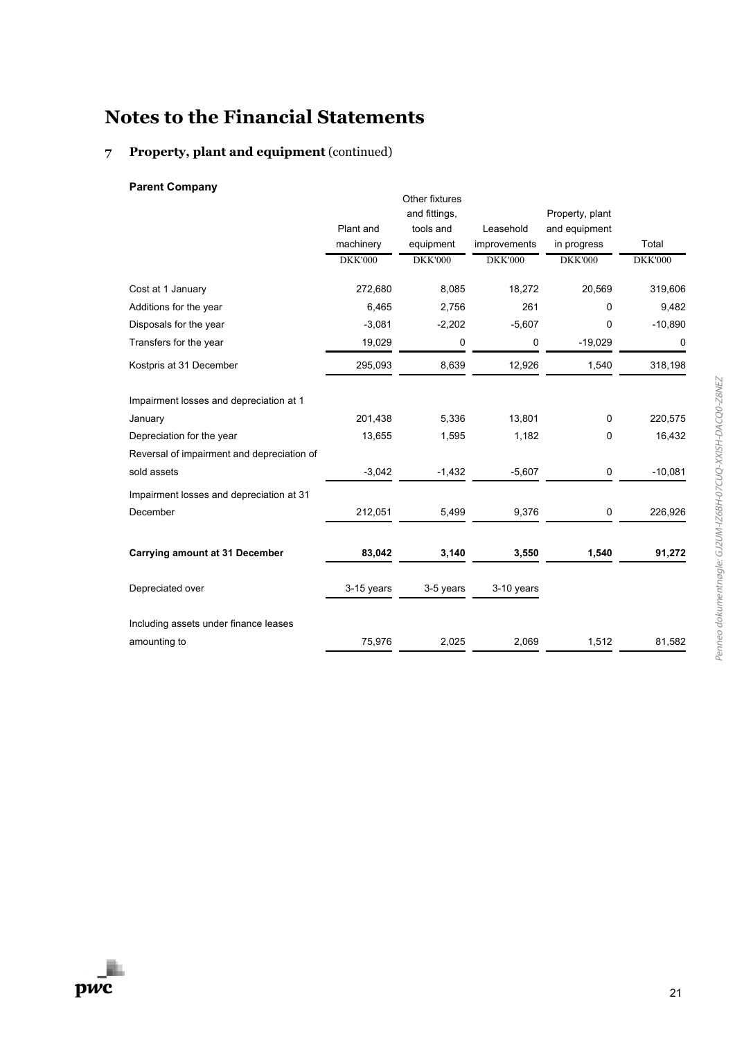### **7 Property, plant and equipment** (continued)

### **Parent Company**

|                                            |                | Other fixtures |                |                 |                |
|--------------------------------------------|----------------|----------------|----------------|-----------------|----------------|
|                                            |                | and fittings,  |                | Property, plant |                |
|                                            | Plant and      | tools and      | Leasehold      | and equipment   |                |
|                                            | machinery      | equipment      | improvements   | in progress     | Total          |
|                                            | <b>DKK'000</b> | <b>DKK'000</b> | <b>DKK'000</b> | <b>DKK'000</b>  | <b>DKK'000</b> |
| Cost at 1 January                          | 272,680        | 8,085          | 18,272         | 20,569          | 319,606        |
| Additions for the year                     | 6,465          | 2,756          | 261            | 0               | 9,482          |
| Disposals for the year                     | $-3,081$       | $-2,202$       | $-5,607$       | 0               | $-10,890$      |
| Transfers for the year                     | 19,029         | 0              | 0              | $-19,029$       | 0              |
| Kostpris at 31 December                    | 295,093        | 8,639          | 12,926         | 1,540           | 318,198        |
| Impairment losses and depreciation at 1    |                |                |                |                 |                |
| January                                    | 201,438        | 5,336          | 13,801         | $\mathbf 0$     | 220,575        |
| Depreciation for the year                  | 13,655         | 1,595          | 1,182          | 0               | 16,432         |
| Reversal of impairment and depreciation of |                |                |                |                 |                |
| sold assets                                | $-3,042$       | $-1,432$       | $-5,607$       | 0               | $-10,081$      |
| Impairment losses and depreciation at 31   |                |                |                |                 |                |
| December                                   | 212,051        | 5,499          | 9,376          | 0               | 226,926        |
| <b>Carrying amount at 31 December</b>      | 83,042         | 3,140          | 3,550          | 1,540           | 91,272         |
| Depreciated over                           | 3-15 years     | 3-5 years      | 3-10 years     |                 |                |
| Including assets under finance leases      |                |                |                |                 |                |
| amounting to                               | 75,976         | 2,025          | 2,069          | 1,512           | 81,582         |
|                                            |                |                |                |                 |                |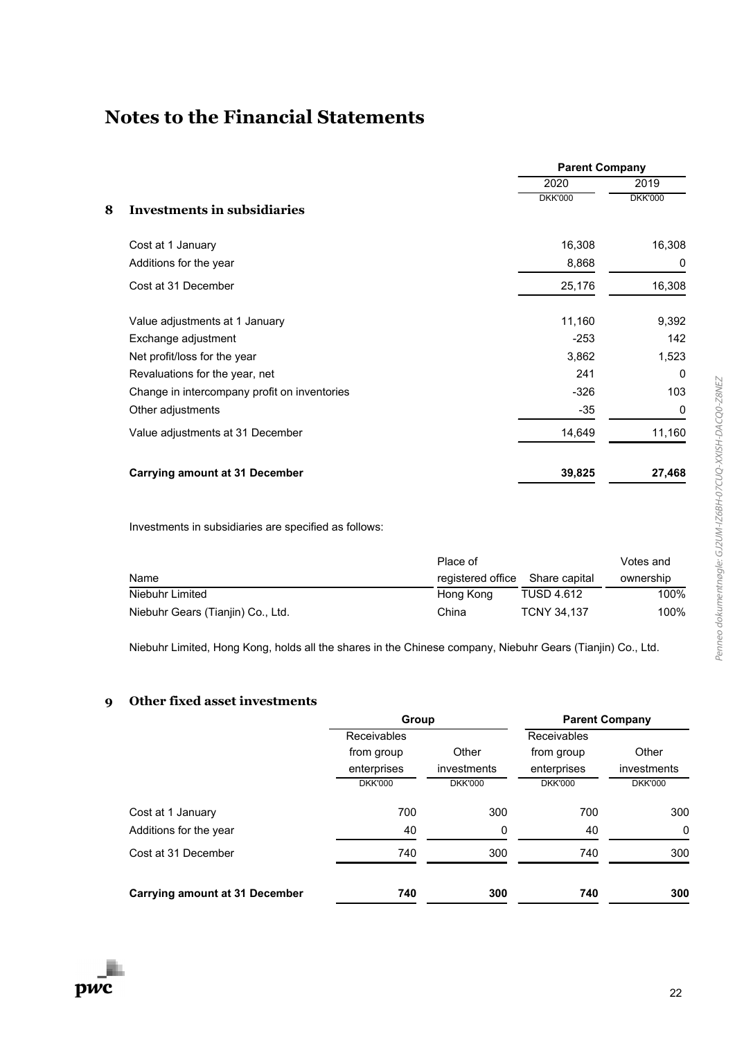|   |                                              | <b>Parent Company</b> |                |
|---|----------------------------------------------|-----------------------|----------------|
|   |                                              | 2020                  | 2019           |
| 8 | <b>Investments in subsidiaries</b>           | <b>DKK'000</b>        | <b>DKK'000</b> |
|   | Cost at 1 January                            | 16,308                | 16,308         |
|   | Additions for the year                       | 8,868                 | 0              |
|   | Cost at 31 December                          | 25,176                | 16,308         |
|   | Value adjustments at 1 January               | 11,160                | 9,392          |
|   | Exchange adjustment                          | $-253$                | 142            |
|   | Net profit/loss for the year                 | 3,862                 | 1,523          |
|   | Revaluations for the year, net               | 241                   | $\Omega$       |
|   | Change in intercompany profit on inventories | $-326$                | 103            |
|   | Other adjustments                            | $-35$                 | 0              |
|   | Value adjustments at 31 December             | 14,649                | 11,160         |
|   | <b>Carrying amount at 31 December</b>        | 39,825                | 27,468         |

Investments in subsidiaries are specified as follows:

|                                   | Place of                        |                    | Votes and |
|-----------------------------------|---------------------------------|--------------------|-----------|
| Name                              | registered office Share capital |                    | ownership |
| Niebuhr Limited                   | Hong Kong                       | <b>TUSD 4.612</b>  | 100%      |
| Niebuhr Gears (Tianjin) Co., Ltd. | China                           | <b>TCNY 34.137</b> | 100%      |

Niebuhr Limited, Hong Kong, holds all the shares in the Chinese company, Niebuhr Gears (Tianjin) Co., Ltd.

### **9 Other fixed asset investments**

|                                       | Group              |                | <b>Parent Company</b> |                |
|---------------------------------------|--------------------|----------------|-----------------------|----------------|
|                                       | <b>Receivables</b> |                | Receivables           |                |
|                                       | from group         | Other          | from group            | Other          |
|                                       | enterprises        | investments    | enterprises           | investments    |
|                                       | <b>DKK'000</b>     | <b>DKK'000</b> | <b>DKK'000</b>        | <b>DKK'000</b> |
| Cost at 1 January                     | 700                | 300            | 700                   | 300            |
| Additions for the year                | 40                 | 0              | 40                    | $\mathbf{0}$   |
| Cost at 31 December                   | 740                | 300            | 740                   | 300            |
| <b>Carrying amount at 31 December</b> | 740                | 300            | 740                   | 300            |

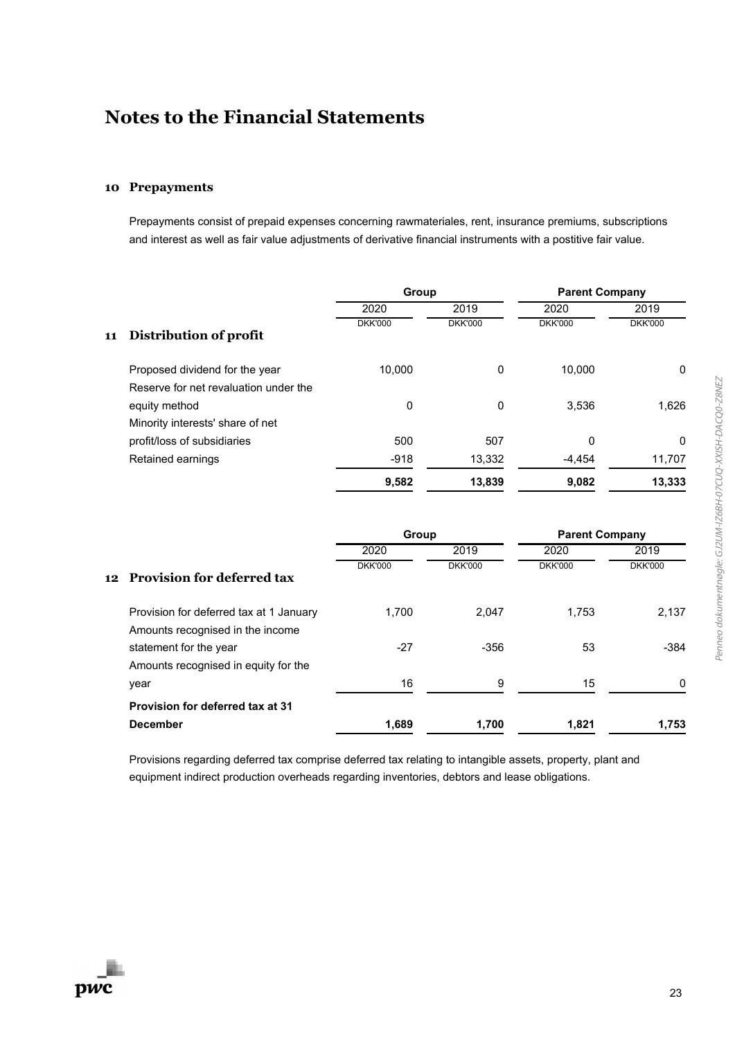#### **10 Prepayments**

Prepayments consist of prepaid expenses concerning rawmateriales, rent, insurance premiums, subscriptions and interest as well as fair value adjustments of derivative financial instruments with a postitive fair value.

|    |                                                                             | Group          |                | <b>Parent Company</b> |                |
|----|-----------------------------------------------------------------------------|----------------|----------------|-----------------------|----------------|
|    |                                                                             | 2020           | 2019           | 2020                  | 2019           |
| 11 | Distribution of profit                                                      | <b>DKK'000</b> | <b>DKK'000</b> | <b>DKK'000</b>        | <b>DKK'000</b> |
|    | Proposed dividend for the year                                              | 10,000         | $\Omega$       | 10,000                | 0              |
|    | Reserve for net revaluation under the                                       |                |                |                       |                |
|    | equity method                                                               | 0              | $\mathbf 0$    | 3,536                 | 1,626          |
|    | Minority interests' share of net                                            |                |                |                       |                |
|    | profit/loss of subsidiaries                                                 | 500            | 507            | 0                     | 0              |
|    | Retained earnings                                                           | $-918$         | 13,332         | $-4,454$              | 11,707         |
|    |                                                                             | 9,582          | 13,839         | 9,082                 | 13,333         |
|    |                                                                             | Group          |                | <b>Parent Company</b> |                |
|    |                                                                             | 2020           | 2019           | 2020                  | 2019           |
| 12 | Provision for deferred tax                                                  | <b>DKK'000</b> | <b>DKK'000</b> | <b>DKK'000</b>        | <b>DKK'000</b> |
|    | Provision for deferred tax at 1 January<br>Amounts recognised in the income | 1,700          | 2,047          | 1,753                 | 2,137          |
|    | statement for the year<br>Amounts recognised in equity for the              | $-27$          | $-356$         | 53                    | $-384$         |
|    | year                                                                        | 16             | 9              | 15                    | $\mathbf 0$    |
|    | Provision for deferred tax at 31                                            |                |                |                       |                |
|    | <b>December</b>                                                             | 1,689          | 1,700          | 1,821                 | 1,753          |

Provisions regarding deferred tax comprise deferred tax relating to intangible assets, property, plant and equipment indirect production overheads regarding inventories, debtors and lease obligations.

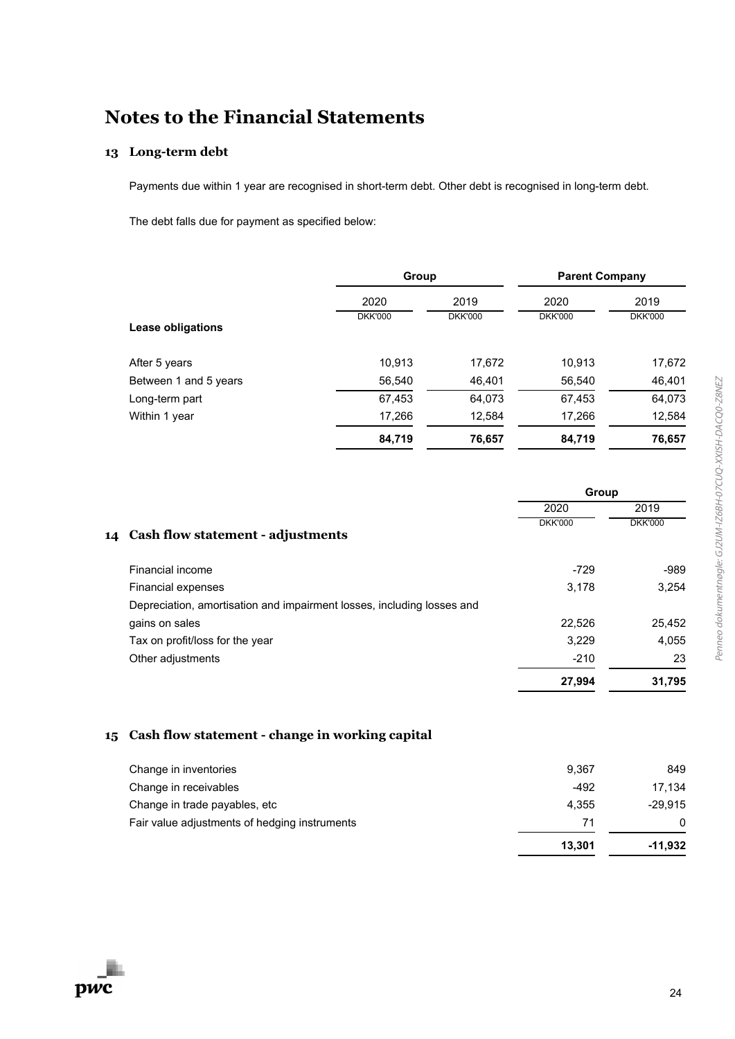### **13 Long-term debt**

Payments due within 1 year are recognised in short-term debt. Other debt is recognised in long-term debt.

The debt falls due for payment as specified below:

|                       | Group          |                | <b>Parent Company</b> |                |
|-----------------------|----------------|----------------|-----------------------|----------------|
|                       | 2020           | 2019           | 2020                  | 2019           |
| Lease obligations     | <b>DKK'000</b> | <b>DKK'000</b> | <b>DKK'000</b>        | <b>DKK'000</b> |
| After 5 years         | 10,913         | 17,672         | 10,913                | 17,672         |
| Between 1 and 5 years | 56,540         | 46,401         | 56,540                | 46,401         |
| Long-term part        | 67,453         | 64,073         | 67,453                | 64,073         |
| Within 1 year         | 17,266         | 12,584         | 17,266                | 12,584         |
|                       | 84,719         | 76,657         | 84,719                | 76,657         |

|    |                                                                        | Group          |                |
|----|------------------------------------------------------------------------|----------------|----------------|
|    |                                                                        | 2020           | 2019           |
| 14 | Cash flow statement - adjustments                                      | <b>DKK'000</b> | <b>DKK'000</b> |
|    | Financial income                                                       | $-729$         | -989           |
|    | Financial expenses                                                     | 3,178          | 3.254          |
|    | Depreciation, amortisation and impairment losses, including losses and |                |                |
|    | gains on sales                                                         | 22,526         | 25,452         |
|    | Tax on profit/loss for the year                                        | 3,229          | 4,055          |
|    | Other adjustments                                                      | $-210$         | 23             |
|    |                                                                        | 27,994         | 31,795         |

#### **15 Cash flow statement - change in working capital**

|                                               | 13.301 | -11,932   |
|-----------------------------------------------|--------|-----------|
| Fair value adjustments of hedging instruments | 71     | 0         |
| Change in trade payables, etc.                | 4.355  | $-29.915$ |
| Change in receivables                         | $-492$ | 17.134    |
| Change in inventories                         | 9.367  | 849       |
|                                               |        |           |

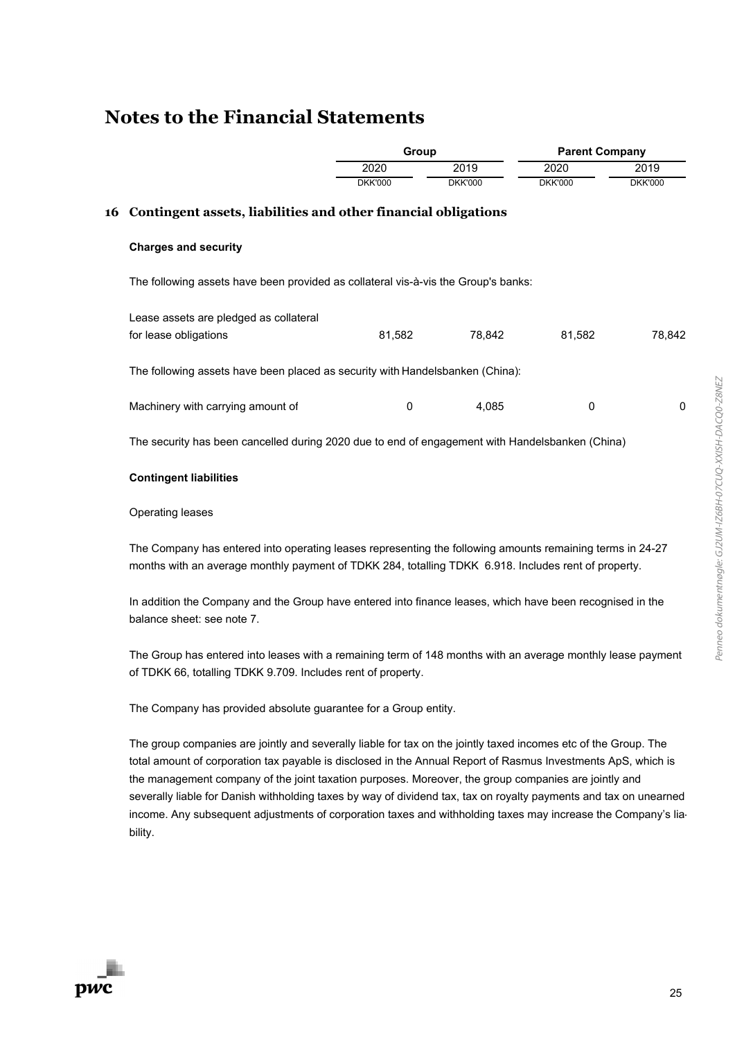|    |                                                                                                 | Group          |                | <b>Parent Company</b> |                |
|----|-------------------------------------------------------------------------------------------------|----------------|----------------|-----------------------|----------------|
|    |                                                                                                 | 2020           | 2019           | 2020                  | 2019           |
|    |                                                                                                 | <b>DKK'000</b> | <b>DKK'000</b> | <b>DKK'000</b>        | <b>DKK'000</b> |
| 16 | Contingent assets, liabilities and other financial obligations                                  |                |                |                       |                |
|    | <b>Charges and security</b>                                                                     |                |                |                       |                |
|    | The following assets have been provided as collateral vis-à-vis the Group's banks:              |                |                |                       |                |
|    | Lease assets are pledged as collateral                                                          |                |                |                       |                |
|    | for lease obligations                                                                           | 81,582         | 78,842         | 81,582                | 78,842         |
|    | The following assets have been placed as security with Handelsbanken (China):                   |                |                |                       |                |
|    | Machinery with carrying amount of                                                               | 0              | 4,085          | 0                     | 0              |
|    | The security has been cancelled during 2020 due to end of engagement with Handelsbanken (China) |                |                |                       |                |
|    | <b>Contingent liabilities</b>                                                                   |                |                |                       |                |
|    | <b>Operating leases</b>                                                                         |                |                |                       |                |

The Company has entered into operating leases representing the following amounts remaining terms in 24-27 months with an average monthly payment of TDKK 284, totalling TDKK 6.918. Includes rent of property.

In addition the Company and the Group have entered into finance leases, which have been recognised in the balance sheet: see note 7.

The Group has entered into leases with a remaining term of 148 months with an average monthly lease payment of TDKK 66, totalling TDKK 9.709. Includes rent of property.

The Company has provided absolute guarantee for a Group entity.

**Notes to the Financial Statements**

The group companies are jointly and severally liable for tax on the jointly taxed incomes etc of the Group. The total amount of corporation tax payable is disclosed in the Annual Report of Rasmus Investments ApS, which is the management company of the joint taxation purposes. Moreover, the group companies are jointly and severally liable for Danish withholding taxes by way of dividend tax, tax on royalty payments and tax on unearned income. Any subsequent adjustments of corporation taxes and withholding taxes may increase the Company's liability.

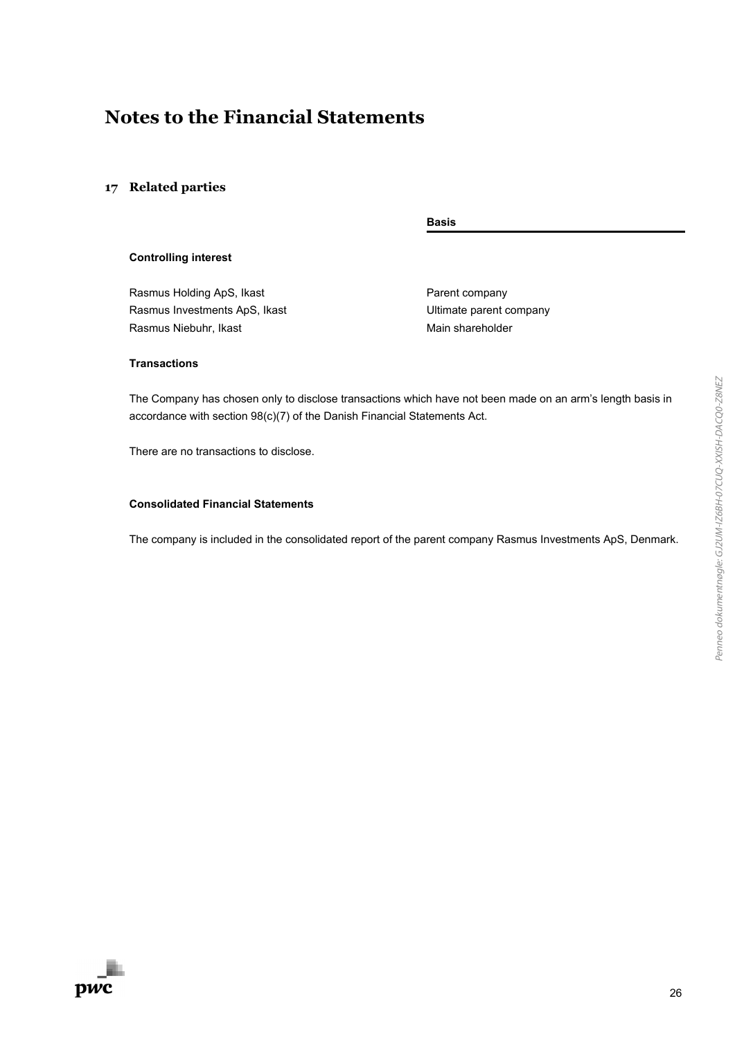#### **17 Related parties**

**Basis**

#### **Controlling interest**

Rasmus Holding ApS, Ikast **Parent Company** Rasmus Investments ApS, Ikast National Annual Muslimate parent company Rasmus Niebuhr, Ikast Main shareholder

#### **Transactions**

The Company has chosen only to disclose transactions which have not been made on an arm's length basis in accordance with section 98(c)(7) of the Danish Financial Statements Act.

There are no transactions to disclose.

#### **Consolidated Financial Statements**

The company is included in the consolidated report of the parent company Rasmus Investments ApS, Denmark.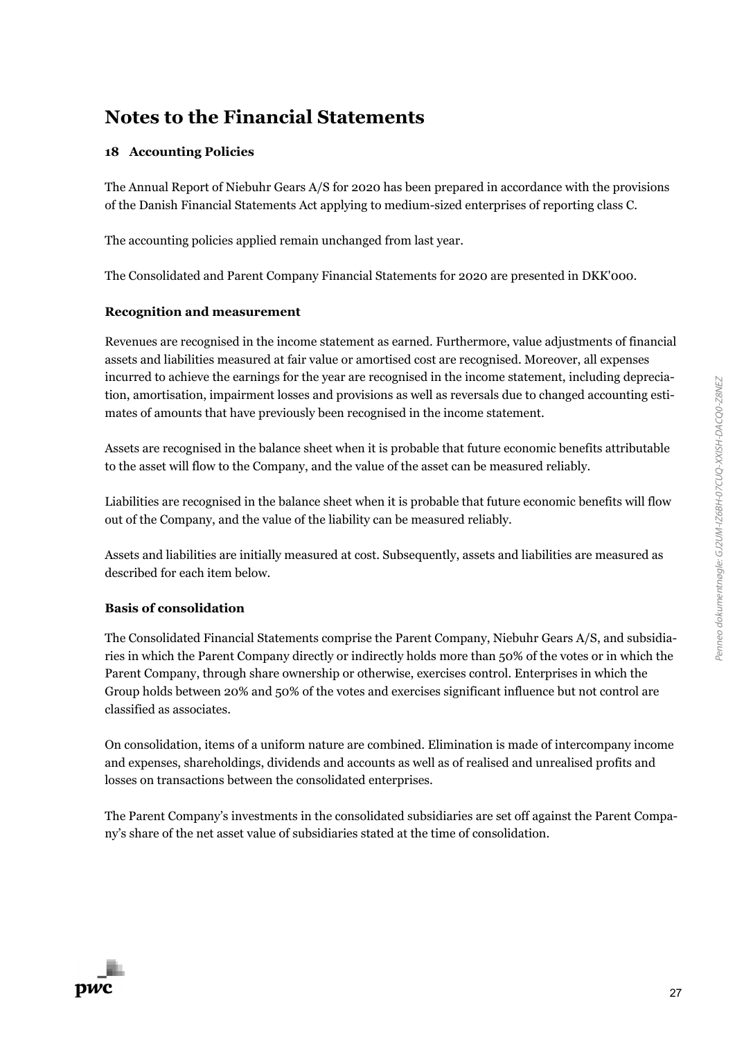### **18 Accounting Policies**

The Annual Report of Niebuhr Gears A/S for 2020 has been prepared in accordance with the provisions of the Danish Financial Statements Act applying to medium-sized enterprises of reporting class C.

The accounting policies applied remain unchanged from last year.

The Consolidated and Parent Company Financial Statements for 2020 are presented in DKK'000.

### **Recognition and measurement**

Revenues are recognised in the income statement as earned. Furthermore, value adjustments of financial assets and liabilities measured at fair value or amortised cost are recognised. Moreover, all expenses incurred to achieve the earnings for the year are recognised in the income statement, including depreciation, amortisation, impairment losses and provisions as well as reversals due to changed accounting estimates of amounts that have previously been recognised in the income statement.

Assets are recognised in the balance sheet when it is probable that future economic benefits attributable to the asset will flow to the Company, and the value of the asset can be measured reliably.

Liabilities are recognised in the balance sheet when it is probable that future economic benefits will flow out of the Company, and the value of the liability can be measured reliably.

Assets and liabilities are initially measured at cost. Subsequently, assets and liabilities are measured as described for each item below.

### **Basis of consolidation**

The Consolidated Financial Statements comprise the Parent Company, Niebuhr Gears A/S, and subsidiaries in which the Parent Company directly or indirectly holds more than 50% of the votes or in which the Parent Company, through share ownership or otherwise, exercises control. Enterprises in which the Group holds between 20% and 50% of the votes and exercises significant influence but not control are classified as associates.

On consolidation, items of a uniform nature are combined. Elimination is made of intercompany income and expenses, shareholdings, dividends and accounts as well as of realised and unrealised profits and losses on transactions between the consolidated enterprises.

The Parent Company's investments in the consolidated subsidiaries are set off against the Parent Company's share of the net asset value of subsidiaries stated at the time of consolidation.

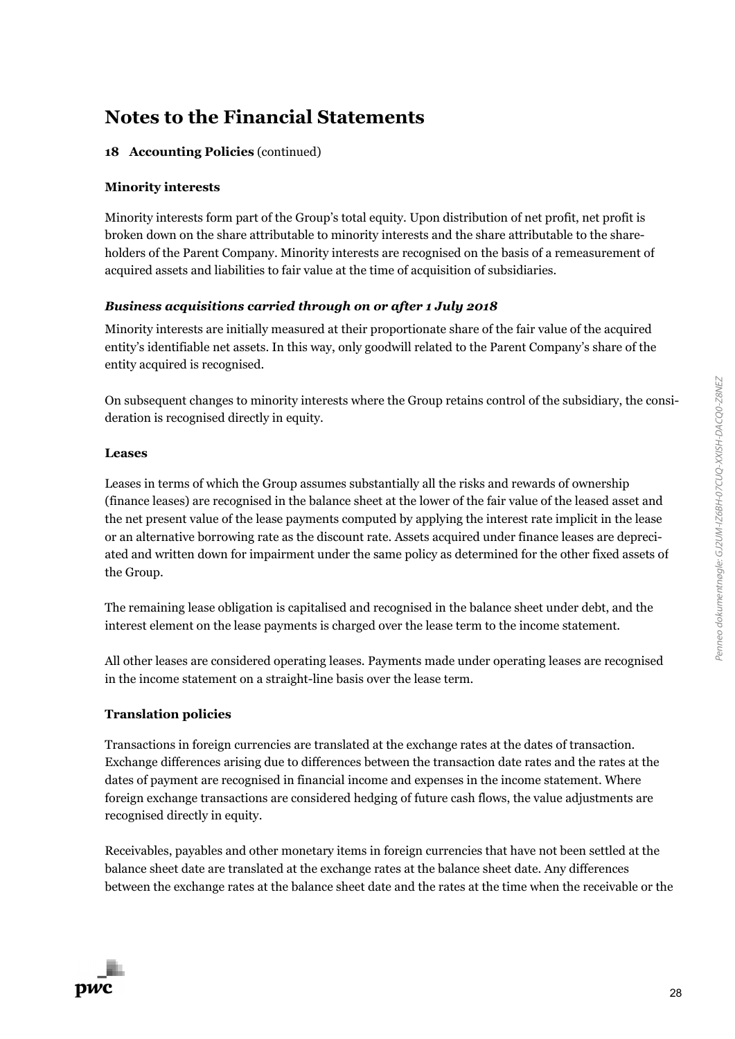### **18 Accounting Policies** (continued)

#### **Minority interests**

Minority interests form part of the Group's total equity. Upon distribution of net profit, net profit is broken down on the share attributable to minority interests and the share attributable to the shareholders of the Parent Company. Minority interests are recognised on the basis of a remeasurement of acquired assets and liabilities to fair value at the time of acquisition of subsidiaries.

### *Business acquisitions carried through on or after 1 July 2018*

Minority interests are initially measured at their proportionate share of the fair value of the acquired entity's identifiable net assets. In this way, only goodwill related to the Parent Company's share of the entity acquired is recognised.

On subsequent changes to minority interests where the Group retains control of the subsidiary, the consideration is recognised directly in equity.

#### **Leases**

Leases in terms of which the Group assumes substantially all the risks and rewards of ownership (finance leases) are recognised in the balance sheet at the lower of the fair value of the leased asset and the net present value of the lease payments computed by applying the interest rate implicit in the lease or an alternative borrowing rate as the discount rate. Assets acquired under finance leases are depreciated and written down for impairment under the same policy as determined for the other fixed assets of the Group.

The remaining lease obligation is capitalised and recognised in the balance sheet under debt, and the interest element on the lease payments is charged over the lease term to the income statement.

All other leases are considered operating leases. Payments made under operating leases are recognised in the income statement on a straight-line basis over the lease term.

#### **Translation policies**

Transactions in foreign currencies are translated at the exchange rates at the dates of transaction. Exchange differences arising due to differences between the transaction date rates and the rates at the dates of payment are recognised in financial income and expenses in the income statement. Where foreign exchange transactions are considered hedging of future cash flows, the value adjustments are recognised directly in equity.

Receivables, payables and other monetary items in foreign currencies that have not been settled at the balance sheet date are translated at the exchange rates at the balance sheet date. Any differences between the exchange rates at the balance sheet date and the rates at the time when the receivable or the

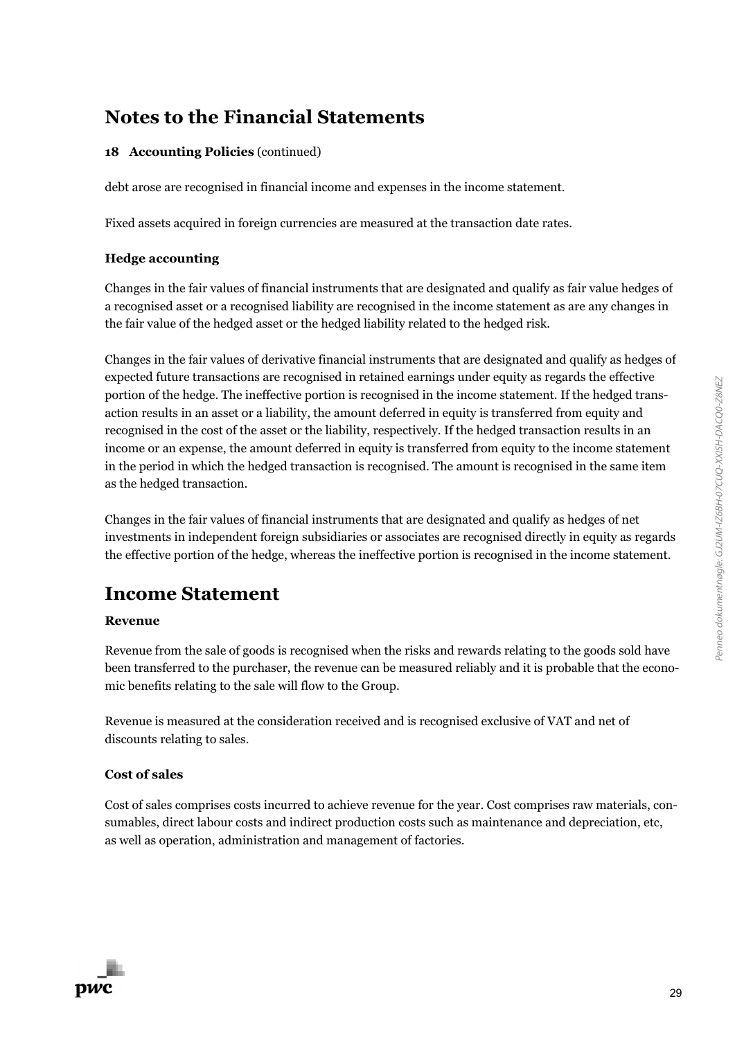### **18 Accounting Policies** (continued)

debt arose are recognised in financial income and expenses in the income statement.

Fixed assets acquired in foreign currencies are measured at the transaction date rates.

### **Hedge accounting**

Changes in the fair values of financial instruments that are designated and qualify as fair value hedges of a recognised asset or a recognised liability are recognised in the income statement as are any changes in the fair value of the hedged asset or the hedged liability related to the hedged risk.

Changes in the fair values of derivative financial instruments that are designated and qualify as hedges of expected future transactions are recognised in retained earnings under equity as regards the effective portion of the hedge. The ineffective portion is recognised in the income statement. If the hedged transaction results in an asset or a liability, the amount deferred in equity is transferred from equity and recognised in the cost of the asset or the liability, respectively. If the hedged transaction results in an income or an expense, the amount deferred in equity is transferred from equity to the income statement in the period in which the hedged transaction is recognised. The amount is recognised in the same item as the hedged transaction.

Changes in the fair values of financial instruments that are designated and qualify as hedges of net investments in independent foreign subsidiaries or associates are recognised directly in equity as regards the effective portion of the hedge, whereas the ineffective portion is recognised in the income statement.

### **Income Statement**

### **Revenue**

Revenue from the sale of goods is recognised when the risks and rewards relating to the goods sold have been transferred to the purchaser, the revenue can be measured reliably and it is probable that the economic benefits relating to the sale will flow to the Group.

Revenue is measured at the consideration received and is recognised exclusive of VAT and net of discounts relating to sales.

### **Cost of sales**

pwc

Cost of sales comprises costs incurred to achieve revenue for the year. Cost comprises raw materials, consumables, direct labour costs and indirect production costs such as maintenance and depreciation, etc, as well as operation, administration and management of factories.

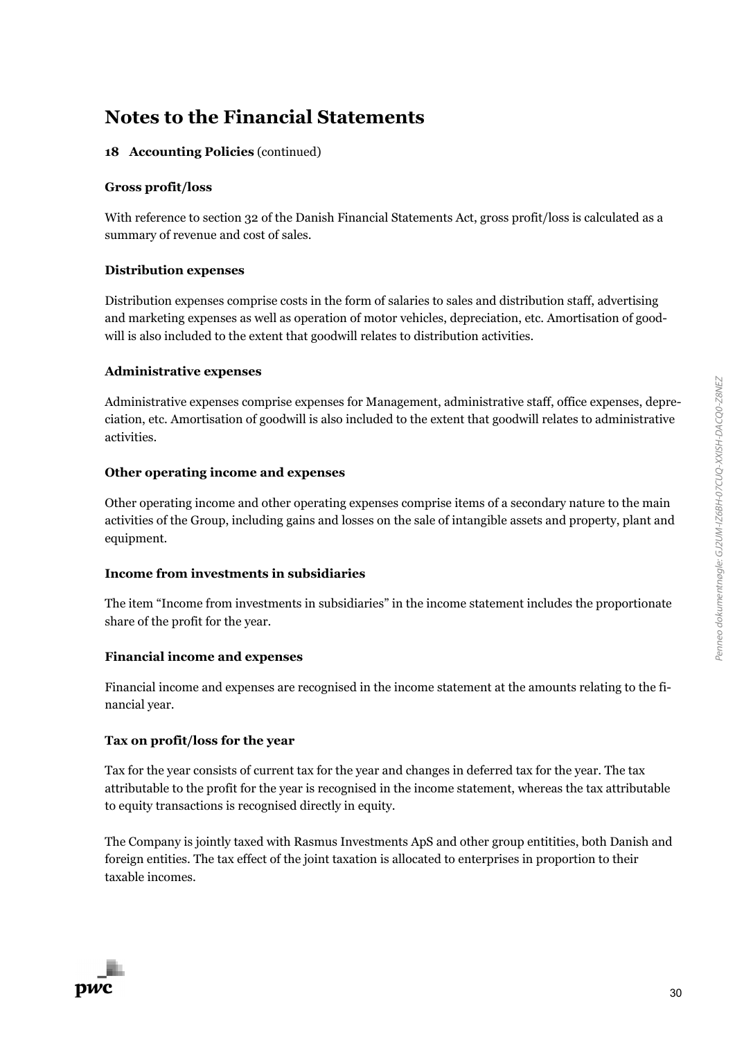### **18 Accounting Policies** (continued)

### **Gross profit/loss**

With reference to section 32 of the Danish Financial Statements Act, gross profit/loss is calculated as a summary of revenue and cost of sales.

### **Distribution expenses**

Distribution expenses comprise costs in the form of salaries to sales and distribution staff, advertising and marketing expenses as well as operation of motor vehicles, depreciation, etc. Amortisation of goodwill is also included to the extent that goodwill relates to distribution activities.

### **Administrative expenses**

Administrative expenses comprise expenses for Management, administrative staff, office expenses, depreciation, etc. Amortisation of goodwill is also included to the extent that goodwill relates to administrative activities.

### **Other operating income and expenses**

Other operating income and other operating expenses comprise items of a secondary nature to the main activities of the Group, including gains and losses on the sale of intangible assets and property, plant and equipment.

### **Income from investments in subsidiaries**

The item "Income from investments in subsidiaries" in the income statement includes the proportionate share of the profit for the year.

### **Financial income and expenses**

Financial income and expenses are recognised in the income statement at the amounts relating to the financial year.

### **Tax on profit/loss for the year**

Tax for the year consists of current tax for the year and changes in deferred tax for the year. The tax attributable to the profit for the year is recognised in the income statement, whereas the tax attributable to equity transactions is recognised directly in equity.

The Company is jointly taxed with Rasmus Investments ApS and other group entitities, both Danish and foreign entities. The tax effect of the joint taxation is allocated to enterprises in proportion to their taxable incomes.

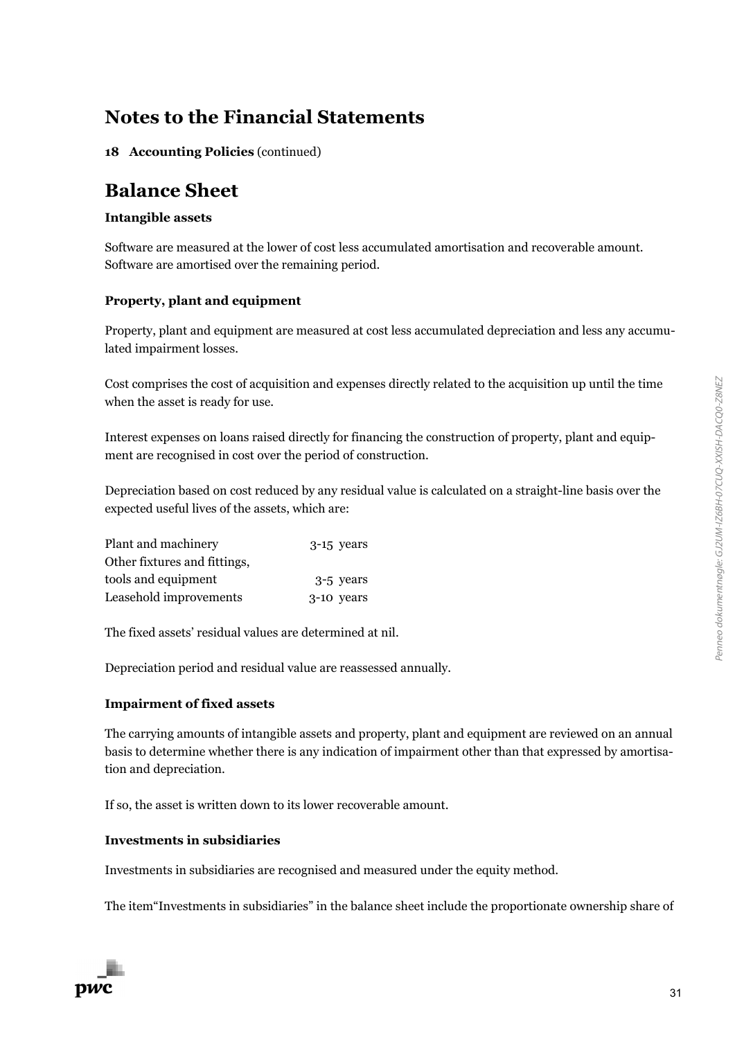**18 Accounting Policies** (continued)

### **Balance Sheet**

### **Intangible assets**

Software are measured at the lower of cost less accumulated amortisation and recoverable amount. Software are amortised over the remaining period.

### **Property, plant and equipment**

Property, plant and equipment are measured at cost less accumulated depreciation and less any accumulated impairment losses.

Cost comprises the cost of acquisition and expenses directly related to the acquisition up until the time when the asset is ready for use.

Interest expenses on loans raised directly for financing the construction of property, plant and equipment are recognised in cost over the period of construction.

Depreciation based on cost reduced by any residual value is calculated on a straight-line basis over the expected useful lives of the assets, which are:

| Plant and machinery          | $3-15$ years |
|------------------------------|--------------|
| Other fixtures and fittings, |              |
| tools and equipment          | 3-5 years    |
| Leasehold improvements       | 3-10 years   |

The fixed assets' residual values are determined at nil.

Depreciation period and residual value are reassessed annually.

#### **Impairment of fixed assets**

The carrying amounts of intangible assets and property, plant and equipment are reviewed on an annual basis to determine whether there is any indication of impairment other than that expressed by amortisation and depreciation.

If so, the asset is written down to its lower recoverable amount.

#### **Investments in subsidiaries**

Investments in subsidiaries are recognised and measured under the equity method.

The item"Investments in subsidiaries" in the balance sheet include the proportionate ownership share of

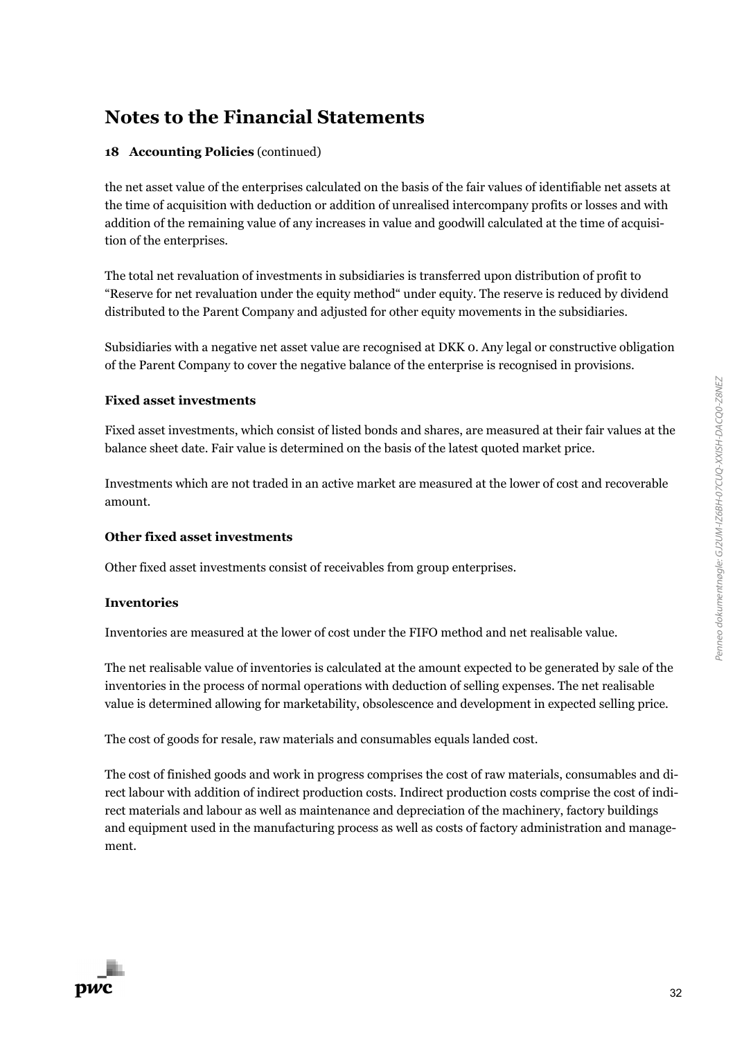### **18 Accounting Policies** (continued)

the net asset value of the enterprises calculated on the basis of the fair values of identifiable net assets at the time of acquisition with deduction or addition of unrealised intercompany profits or losses and with addition of the remaining value of any increases in value and goodwill calculated at the time of acquisition of the enterprises.

The total net revaluation of investments in subsidiaries is transferred upon distribution of profit to "Reserve for net revaluation under the equity method" under equity. The reserve is reduced by dividend distributed to the Parent Company and adjusted for other equity movements in the subsidiaries.

Subsidiaries with a negative net asset value are recognised at DKK 0. Any legal or constructive obligation of the Parent Company to cover the negative balance of the enterprise is recognised in provisions.

### **Fixed asset investments**

Fixed asset investments, which consist of listed bonds and shares, are measured at their fair values at the balance sheet date. Fair value is determined on the basis of the latest quoted market price.

Investments which are not traded in an active market are measured at the lower of cost and recoverable amount.

### **Other fixed asset investments**

Other fixed asset investments consist of receivables from group enterprises.

### **Inventories**

Inventories are measured at the lower of cost under the FIFO method and net realisable value.

The net realisable value of inventories is calculated at the amount expected to be generated by sale of the inventories in the process of normal operations with deduction of selling expenses. The net realisable value is determined allowing for marketability, obsolescence and development in expected selling price.

The cost of goods for resale, raw materials and consumables equals landed cost.

The cost of finished goods and work in progress comprises the cost of raw materials, consumables and direct labour with addition of indirect production costs. Indirect production costs comprise the cost of indirect materials and labour as well as maintenance and depreciation of the machinery, factory buildings and equipment used in the manufacturing process as well as costs of factory administration and management.

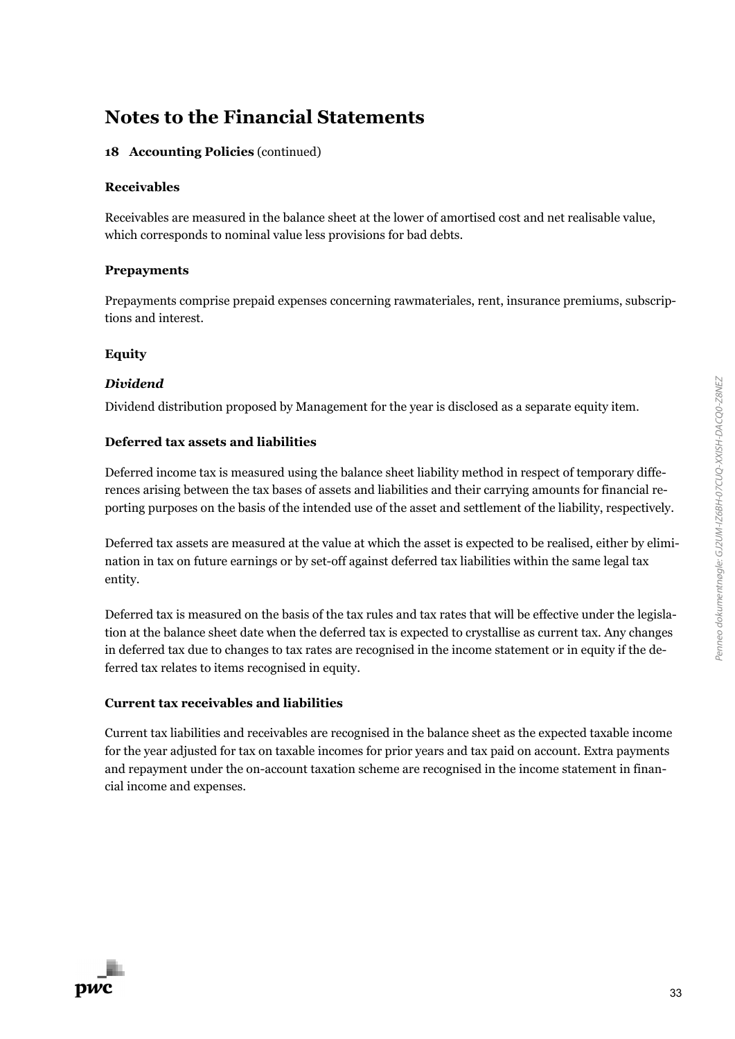### **18 Accounting Policies** (continued)

#### **Receivables**

Receivables are measured in the balance sheet at the lower of amortised cost and net realisable value, which corresponds to nominal value less provisions for bad debts.

#### **Prepayments**

Prepayments comprise prepaid expenses concerning rawmateriales, rent, insurance premiums, subscriptions and interest.

### **Equity**

### *Dividend*

Dividend distribution proposed by Management for the year is disclosed as a separate equity item.

### **Deferred tax assets and liabilities**

Deferred income tax is measured using the balance sheet liability method in respect of temporary differences arising between the tax bases of assets and liabilities and their carrying amounts for financial reporting purposes on the basis of the intended use of the asset and settlement of the liability, respectively.

Deferred tax assets are measured at the value at which the asset is expected to be realised, either by elimination in tax on future earnings or by set-off against deferred tax liabilities within the same legal tax entity.

Deferred tax is measured on the basis of the tax rules and tax rates that will be effective under the legislation at the balance sheet date when the deferred tax is expected to crystallise as current tax. Any changes in deferred tax due to changes to tax rates are recognised in the income statement or in equity if the deferred tax relates to items recognised in equity.

### **Current tax receivables and liabilities**

Current tax liabilities and receivables are recognised in the balance sheet as the expected taxable income for the year adjusted for tax on taxable incomes for prior years and tax paid on account. Extra payments and repayment under the on-account taxation scheme are recognised in the income statement in financial income and expenses.

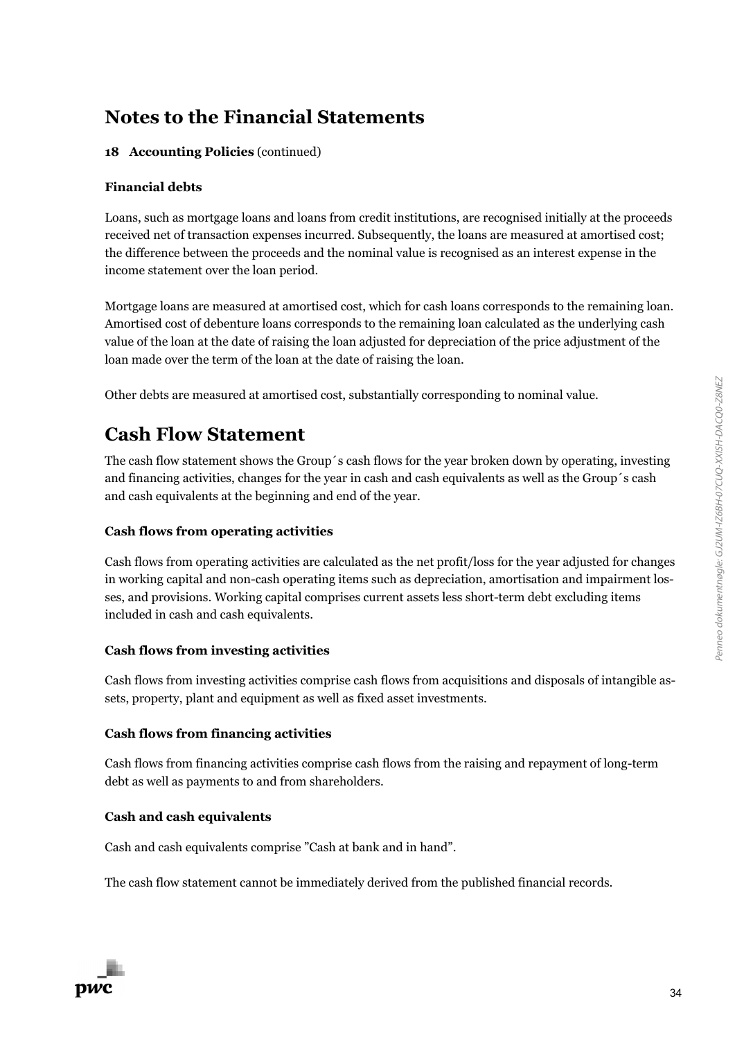### **18 Accounting Policies** (continued)

### **Financial debts**

Loans, such as mortgage loans and loans from credit institutions, are recognised initially at the proceeds received net of transaction expenses incurred. Subsequently, the loans are measured at amortised cost; the difference between the proceeds and the nominal value is recognised as an interest expense in the income statement over the loan period.

Mortgage loans are measured at amortised cost, which for cash loans corresponds to the remaining loan. Amortised cost of debenture loans corresponds to the remaining loan calculated as the underlying cash value of the loan at the date of raising the loan adjusted for depreciation of the price adjustment of the loan made over the term of the loan at the date of raising the loan.

Other debts are measured at amortised cost, substantially corresponding to nominal value.

### **Cash Flow Statement**

The cash flow statement shows the Group´s cash flows for the year broken down by operating, investing and financing activities, changes for the year in cash and cash equivalents as well as the Group´s cash and cash equivalents at the beginning and end of the year.

### **Cash flows from operating activities**

Cash flows from operating activities are calculated as the net profit/loss for the year adjusted for changes in working capital and non-cash operating items such as depreciation, amortisation and impairment losses, and provisions. Working capital comprises current assets less short-term debt excluding items included in cash and cash equivalents.

### **Cash flows from investing activities**

Cash flows from investing activities comprise cash flows from acquisitions and disposals of intangible assets, property, plant and equipment as well as fixed asset investments.

### **Cash flows from financing activities**

Cash flows from financing activities comprise cash flows from the raising and repayment of long-term debt as well as payments to and from shareholders.

### **Cash and cash equivalents**

Cash and cash equivalents comprise "Cash at bank and in hand".

The cash flow statement cannot be immediately derived from the published financial records.

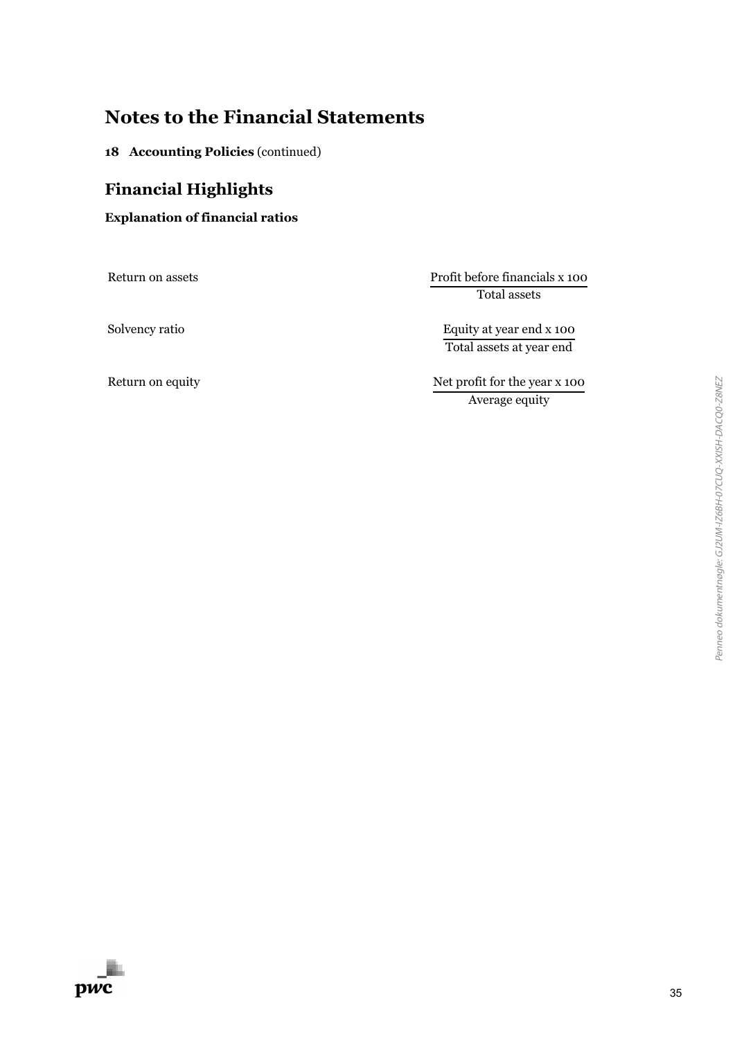**18 Accounting Policies** (continued)

### **Financial Highlights**

**Explanation of financial ratios**

Return on assets Profit before financials x 100 Total assets

Solvency ratio Equity at year end x 100 Total assets at year end

Return on equity Net profit for the year x 100 Average equity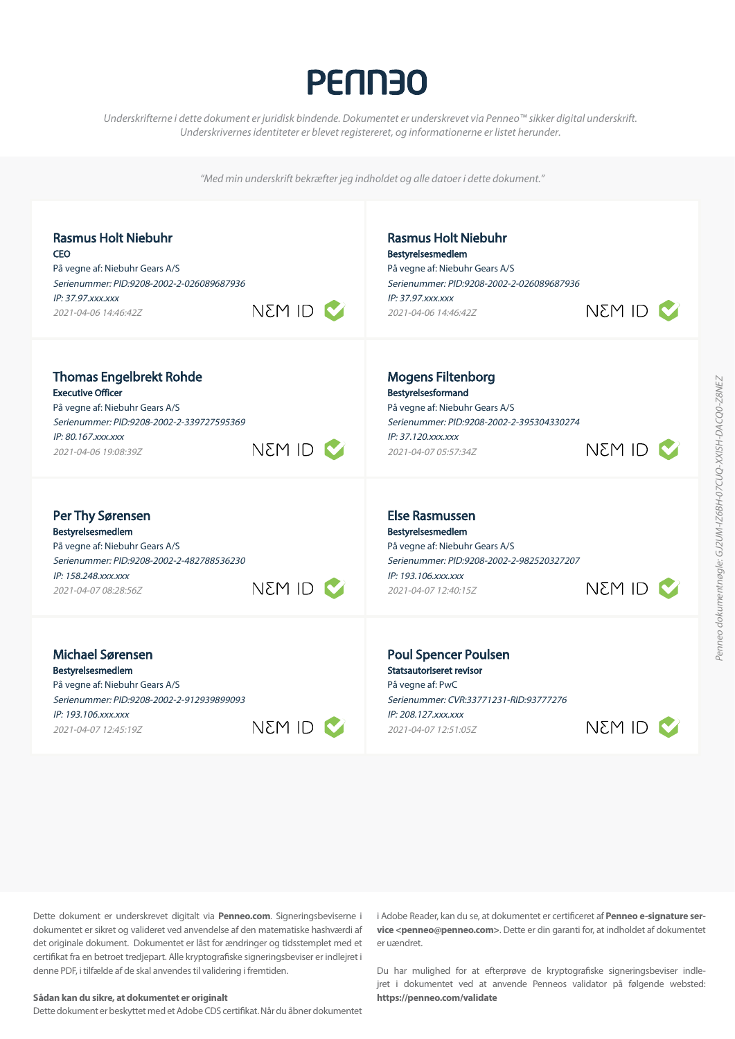# **PENN30**

*Underskrifterne i dette dokument er juridisk bindende. Dokumentet er underskrevet via Penneo™ sikker digital underskrift*. Underskrivernes identiteter er blevet registereret, og informationerne er listet herunder.

"Med min underskrift bekræfter jeg indholdet og alle datoer i dette dokument."



Dette dokument er underskrevet digitalt via **Penneo.com**. Signeringsbeviserne i dokumentet er sikret og valideret ved anvendelse af den matematiske hashværdi af det originale dokument. Dokumentet er låst for ændringer og tidsstemplet med et certifikat fra en betroet tredjepart. Alle kryptografiske signeringsbeviser er indlejret i denne PDF, i tilfælde af de skal anvendes til validering i fremtiden.

#### **Sådan kan du sikre, at dokumentet er originalt**

Dette dokument er beskyttet med et Adobe CDS certifikat. Når du åbner dokumentet

i Adobe Reader, kan du se, at dokumentet er certificeret af **Penneo e-signature ser vice <penneo@penneo.com>**. Dette er din garanti for, at indholdet af dokumentet er uændret.

Du har mulighed for at efterprøve de kryptografiske signeringsbeviser indle jret i dokumentet ved at anvende Penneos validator på følgende websted: **https://penneo.com/validate**